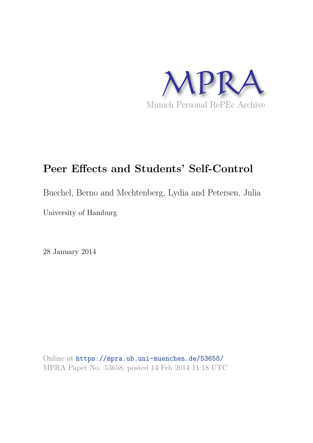

# **Peer Effects and Students' Self-Control**

Buechel, Berno and Mechtenberg, Lydia and Petersen, Julia

University of Hamburg

28 January 2014

Online at https://mpra.ub.uni-muenchen.de/53658/ MPRA Paper No. 53658, posted 14 Feb 2014 11:18 UTC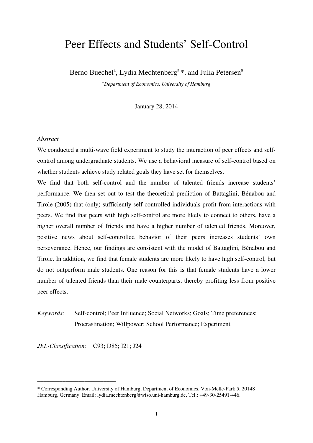# Peer Effects and Students' Self-Control

Berno Buechel<sup>a</sup>, Lydia Mechtenberg<sup>a,\*</sup>, and Julia Petersen<sup>a</sup>

*<sup>a</sup>Department of Economics, University of Hamburg* 

January 28, 2014

#### *Abstract*

We conducted a multi-wave field experiment to study the interaction of peer effects and selfcontrol among undergraduate students. We use a behavioral measure of self-control based on whether students achieve study related goals they have set for themselves.

We find that both self-control and the number of talented friends increase students' performance. We then set out to test the theoretical prediction of Battaglini, Bénabou and Tirole (2005) that (only) sufficiently self-controlled individuals profit from interactions with peers. We find that peers with high self-control are more likely to connect to others, have a higher overall number of friends and have a higher number of talented friends. Moreover, positive news about self-controlled behavior of their peers increases students' own perseverance. Hence, our findings are consistent with the model of Battaglini, Bénabou and Tirole. In addition, we find that female students are more likely to have high self-control, but do not outperform male students. One reason for this is that female students have a lower number of talented friends than their male counterparts, thereby profiting less from positive peer effects.

## *Keywords:* Self-control; Peer Influence; Social Networks; Goals; Time preferences; Procrastination; Willpower; School Performance; Experiment

*JEL-Classification:* C93; D85; I21; J24

\_\_\_\_\_\_\_\_\_\_\_\_\_\_\_\_\_\_\_\_\_\_\_\_\_

<sup>\*</sup> Corresponding Author. University of Hamburg, Department of Economics, Von-Melle-Park 5, 20148 Hamburg, Germany. Email: lydia.mechtenberg@wiso.uni-hamburg.de, Tel.: +49-30-25491-446.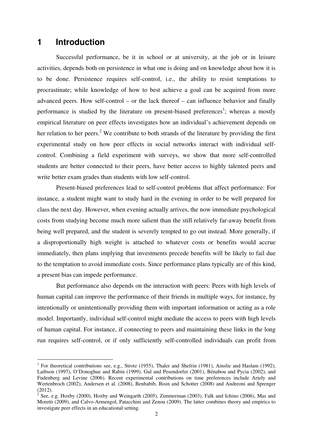## **1 Introduction**

-

Successful performance, be it in school or at university, at the job or in leisure activities, depends both on persistence in what one is doing and on knowledge about how it is to be done. Persistence requires self-control, i.e., the ability to resist temptations to procrastinate; while knowledge of how to best achieve a goal can be acquired from more advanced peers. How self-control – or the lack thereof – can influence behavior and finally performance is studied by the literature on present-biased preferences<sup>1</sup>; whereas a mostly empirical literature on peer effects investigates how an individual's achievement depends on her relation to her peers.<sup>2</sup> We contribute to both strands of the literature by providing the first experimental study on how peer effects in social networks interact with individual selfcontrol. Combining a field experiment with surveys, we show that more self-controlled students are better connected to their peers, have better access to highly talented peers and write better exam grades than students with low self-control.

Present-biased preferences lead to self-control problems that affect performance: For instance, a student might want to study hard in the evening in order to be well prepared for class the next day. However, when evening actually arrives, the now immediate psychological costs from studying become much more salient than the still relatively far-away benefit from being well prepared, and the student is severely tempted to go out instead. More generally, if a disproportionally high weight is attached to whatever costs or benefits would accrue immediately, then plans implying that investments precede benefits will be likely to fail due to the temptation to avoid immediate costs. Since performance plans typically are of this kind, a present bias can impede performance.

But performance also depends on the interaction with peers: Peers with high levels of human capital can improve the performance of their friends in multiple ways, for instance, by intentionally or unintentionally providing them with important information or acting as a role model. Importantly, individual self-control might mediate the access to peers with high levels of human capital. For instance, if connecting to peers and maintaining these links in the long run requires self-control, or if only sufficiently self-controlled individuals can profit from

<sup>&</sup>lt;sup>1</sup> For theoretical contributions see, e.g., Strotz (1955), Thaler and Shefrin (1981), Ainslie and Haslam (1992), Laibson (1997), O'Donoghue and Rabin (1999), Gul and Pesendorfer (2001), Bénabou and Pycia (2002), and Fudenberg and Levine (2006). Recent experimental contributions on time preferences include Ariely and Wertenbroch (2002), Andersen et al. (2008), Benhabib, Bisin and Schotter (2008) and Andreoni and Sprenger

<sup>(2012).&</sup>lt;br><sup>2</sup> See, e.g. Hoxby (2000), Hoxby and Weingarth (2005), Zimmerman (2003), Falk and Ichino (2006), Mas and Moretti (2009), and Calvo-Armengol, Patacchini and Zenou (2009). The latter combines theory and empirics to investigate peer effects in an educational setting.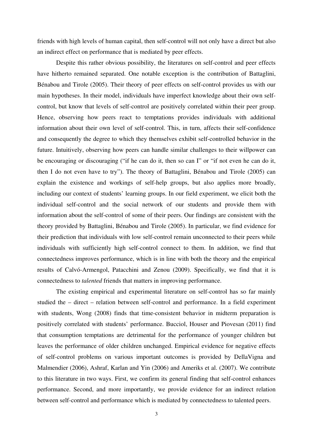friends with high levels of human capital, then self-control will not only have a direct but also an indirect effect on performance that is mediated by peer effects.

Despite this rather obvious possibility, the literatures on self-control and peer effects have hitherto remained separated. One notable exception is the contribution of Battaglini, Bénabou and Tirole (2005). Their theory of peer effects on self-control provides us with our main hypotheses. In their model, individuals have imperfect knowledge about their own selfcontrol, but know that levels of self-control are positively correlated within their peer group. Hence, observing how peers react to temptations provides individuals with additional information about their own level of self-control. This, in turn, affects their self-confidence and consequently the degree to which they themselves exhibit self-controlled behavior in the future. Intuitively, observing how peers can handle similar challenges to their willpower can be encouraging or discouraging ("if he can do it, then so can I" or "if not even he can do it, then I do not even have to try"). The theory of Battaglini, Bénabou and Tirole (2005) can explain the existence and workings of self-help groups, but also applies more broadly, including our context of students' learning groups. In our field experiment, we elicit both the individual self-control and the social network of our students and provide them with information about the self-control of some of their peers. Our findings are consistent with the theory provided by Battaglini, Bénabou and Tirole (2005). In particular, we find evidence for their prediction that individuals with low self-control remain unconnected to their peers while individuals with sufficiently high self-control connect to them. In addition, we find that connectedness improves performance, which is in line with both the theory and the empirical results of Calvó-Armengol, Patacchini and Zenou (2009). Specifically, we find that it is connectedness to *talented* friends that matters in improving performance.

The existing empirical and experimental literature on self-control has so far mainly studied the – direct – relation between self-control and performance. In a field experiment with students, Wong (2008) finds that time-consistent behavior in midterm preparation is positively correlated with students' performance. Bucciol, Houser and Piovesan (2011) find that consumption temptations are detrimental for the performance of younger children but leaves the performance of older children unchanged. Empirical evidence for negative effects of self-control problems on various important outcomes is provided by DellaVigna and Malmendier (2006), Ashraf, Karlan and Yin (2006) and Ameriks et al. (2007). We contribute to this literature in two ways. First, we confirm its general finding that self-control enhances performance. Second, and more importantly, we provide evidence for an indirect relation between self-control and performance which is mediated by connectedness to talented peers.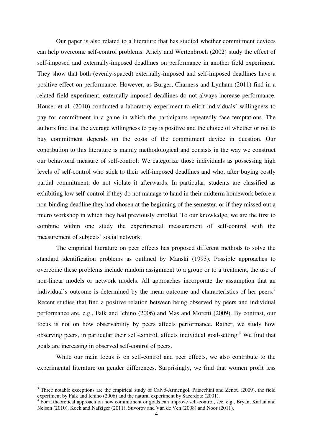Our paper is also related to a literature that has studied whether commitment devices can help overcome self-control problems. Ariely and Wertenbroch (2002) study the effect of self-imposed and externally-imposed deadlines on performance in another field experiment. They show that both (evenly-spaced) externally-imposed and self-imposed deadlines have a positive effect on performance. However, as Burger, Charness and Lynham (2011) find in a related field experiment, externally-imposed deadlines do not always increase performance. Houser et al. (2010) conducted a laboratory experiment to elicit individuals' willingness to pay for commitment in a game in which the participants repeatedly face temptations. The authors find that the average willingness to pay is positive and the choice of whether or not to buy commitment depends on the costs of the commitment device in question. Our contribution to this literature is mainly methodological and consists in the way we construct our behavioral measure of self-control: We categorize those individuals as possessing high levels of self-control who stick to their self-imposed deadlines and who, after buying costly partial commitment, do not violate it afterwards. In particular, students are classified as exhibiting low self-control if they do not manage to hand in their midterm homework before a non-binding deadline they had chosen at the beginning of the semester, or if they missed out a micro workshop in which they had previously enrolled. To our knowledge, we are the first to combine within one study the experimental measurement of self-control with the measurement of subjects' social network.

The empirical literature on peer effects has proposed different methods to solve the standard identification problems as outlined by Manski (1993). Possible approaches to overcome these problems include random assignment to a group or to a treatment, the use of non-linear models or network models. All approaches incorporate the assumption that an individual's outcome is determined by the mean outcome and characteristics of her peers.<sup>3</sup> Recent studies that find a positive relation between being observed by peers and individual performance are, e.g., Falk and Ichino (2006) and Mas and Moretti (2009). By contrast, our focus is not on how observability by peers affects performance. Rather, we study how observing peers, in particular their self-control, affects individual goal-setting.<sup>4</sup> We find that goals are increasing in observed self-control of peers.

While our main focus is on self-control and peer effects, we also contribute to the experimental literature on gender differences. Surprisingly, we find that women profit less

<sup>&</sup>lt;sup>3</sup> Three notable exceptions are the empirical study of Calvó-Armengol, Patacchini and Zenou (2009), the field experiment by Falk and Ichino (2006) and the natural experiment by Sacerdote (2001).

<sup>&</sup>lt;sup>4</sup> For a theoretical approach on how commitment or goals can improve self-control, see, e.g., Bryan, Karlan and Nelson (2010), Koch and Nafziger (2011), Suvorov and Van de Ven (2008) and Noor (2011).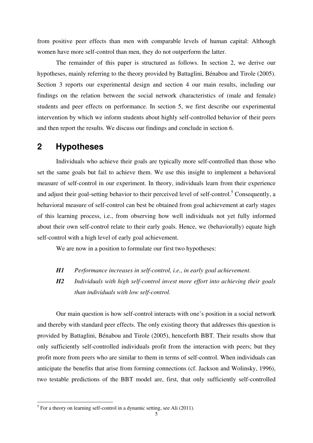from positive peer effects than men with comparable levels of human capital: Although women have more self-control than men, they do not outperform the latter.

The remainder of this paper is structured as follows. In section 2, we derive our hypotheses, mainly referring to the theory provided by Battaglini, Bénabou and Tirole (2005). Section 3 reports our experimental design and section 4 our main results, including our findings on the relation between the social network characteristics of (male and female) students and peer effects on performance. In section 5, we first describe our experimental intervention by which we inform students about highly self-controlled behavior of their peers and then report the results. We discuss our findings and conclude in section 6.

# **2 Hypotheses**

Individuals who achieve their goals are typically more self-controlled than those who set the same goals but fail to achieve them. We use this insight to implement a behavioral measure of self-control in our experiment. In theory, individuals learn from their experience and adjust their goal-setting behavior to their perceived level of self-control.<sup>5</sup> Consequently, a behavioral measure of self-control can best be obtained from goal achievement at early stages of this learning process, i.e., from observing how well individuals not yet fully informed about their own self-control relate to their early goals. Hence, we (behaviorally) equate high self-control with a high level of early goal achievement.

We are now in a position to formulate our first two hypotheses:

*H1 Performance increases in self-control, i.e., in early goal achievement*.

*H2 Individuals with high self-control invest more effort into achieving their goals than individuals with low self-control.* 

Our main question is how self-control interacts with one's position in a social network and thereby with standard peer effects. The only existing theory that addresses this question is provided by Battaglini, Bénabou and Tirole (2005), henceforth BBT. Their results show that only sufficiently self-controlled individuals profit from the interaction with peers; but they profit more from peers who are similar to them in terms of self-control. When individuals can anticipate the benefits that arise from forming connections (cf. Jackson and Wolinsky, 1996), two testable predictions of the BBT model are, first, that only sufficiently self-controlled

<sup>&</sup>lt;sup>5</sup> For a theory on learning self-control in a dynamic setting, see Ali (2011).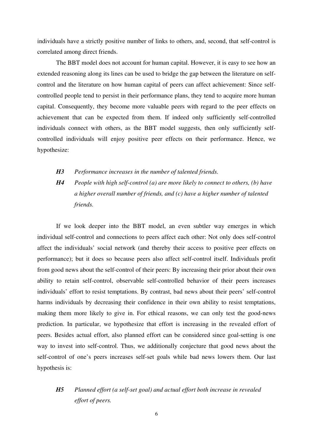individuals have a strictly positive number of links to others, and, second, that self-control is correlated among direct friends.

The BBT model does not account for human capital. However, it is easy to see how an extended reasoning along its lines can be used to bridge the gap between the literature on selfcontrol and the literature on how human capital of peers can affect achievement: Since selfcontrolled people tend to persist in their performance plans, they tend to acquire more human capital. Consequently, they become more valuable peers with regard to the peer effects on achievement that can be expected from them. If indeed only sufficiently self-controlled individuals connect with others, as the BBT model suggests, then only sufficiently selfcontrolled individuals will enjoy positive peer effects on their performance. Hence, we hypothesize:

*H3 Performance increases in the number of talented friends.* 

*H4 People with high self-control (a) are more likely to connect to others, (b) have a higher overall number of friends, and (c) have a higher number of talented friends.* 

If we look deeper into the BBT model, an even subtler way emerges in which individual self-control and connections to peers affect each other: Not only does self-control affect the individuals' social network (and thereby their access to positive peer effects on performance); but it does so because peers also affect self-control itself. Individuals profit from good news about the self-control of their peers: By increasing their prior about their own ability to retain self-control, observable self-controlled behavior of their peers increases individuals' effort to resist temptations. By contrast, bad news about their peers' self-control harms individuals by decreasing their confidence in their own ability to resist temptations, making them more likely to give in. For ethical reasons, we can only test the good-news prediction. In particular, we hypothesize that effort is increasing in the revealed effort of peers. Besides actual effort, also planned effort can be considered since goal-setting is one way to invest into self-control. Thus, we additionally conjecture that good news about the self-control of one's peers increases self-set goals while bad news lowers them. Our last hypothesis is:

## *H5 Planned effort (a self-set goal) and actual effort both increase in revealed effort of peers.*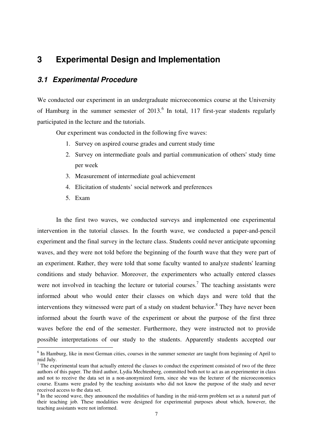## **3 Experimental Design and Implementation**

### **3.1 Experimental Procedure**

We conducted our experiment in an undergraduate microeconomics course at the University of Hamburg in the summer semester of  $2013$ .<sup>6</sup> In total, 117 first-year students regularly participated in the lecture and the tutorials.

Our experiment was conducted in the following five waves:

- 1. Survey on aspired course grades and current study time
- 2. Survey on intermediate goals and partial communication of others' study time per week
- 3. Measurement of intermediate goal achievement
- 4. Elicitation of students' social network and preferences
- 5. Exam

-

In the first two waves, we conducted surveys and implemented one experimental intervention in the tutorial classes. In the fourth wave, we conducted a paper-and-pencil experiment and the final survey in the lecture class. Students could never anticipate upcoming waves, and they were not told before the beginning of the fourth wave that they were part of an experiment. Rather, they were told that some faculty wanted to analyze students' learning conditions and study behavior. Moreover, the experimenters who actually entered classes were not involved in teaching the lecture or tutorial courses.<sup>7</sup> The teaching assistants were informed about who would enter their classes on which days and were told that the interventions they witnessed were part of a study on student behavior.<sup>8</sup> They have never been informed about the fourth wave of the experiment or about the purpose of the first three waves before the end of the semester. Furthermore, they were instructed not to provide possible interpretations of our study to the students. Apparently students accepted our

<sup>&</sup>lt;sup>6</sup> In Hamburg, like in most German cities, courses in the summer semester are taught from beginning of April to mid July.

 $<sup>7</sup>$  The experimental team that actually entered the classes to conduct the experiment consisted of two of the three</sup> authors of this paper. The third author, Lydia Mechtenberg, committed both not to act as an experimenter in class and not to receive the data set in a non-anonymized form, since she was the lecturer of the microeconomics course. Exams were graded by the teaching assistants who did not know the purpose of the study and never received access to the data set.

<sup>&</sup>lt;sup>8</sup> In the second wave, they announced the modalities of handing in the mid-term problem set as a natural part of their teaching job. These modalities were designed for experimental purposes about which, however, the teaching assistants were not informed.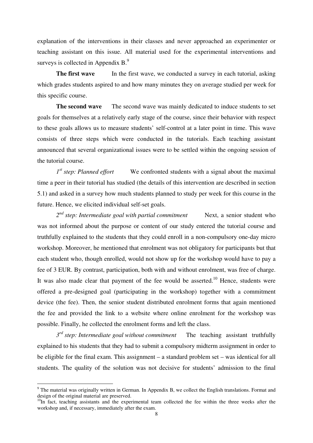explanation of the interventions in their classes and never approached an experimenter or teaching assistant on this issue. All material used for the experimental interventions and surveys is collected in Appendix  $B^9$ .

**The first wave** In the first wave, we conducted a survey in each tutorial, asking which grades students aspired to and how many minutes they on average studied per week for this specific course.

**The second wave** The second wave was mainly dedicated to induce students to set goals for themselves at a relatively early stage of the course, since their behavior with respect to these goals allows us to measure students' self-control at a later point in time. This wave consists of three steps which were conducted in the tutorials. Each teaching assistant announced that several organizational issues were to be settled within the ongoing session of the tutorial course.

1<sup>st</sup> step: Planned effort We confronted students with a signal about the maximal time a peer in their tutorial has studied (the details of this intervention are described in section 5.1) and asked in a survey how much students planned to study per week for this course in the future. Hence, we elicited individual self-set goals.

*2 nd step: Intermediate goal with partial commitment* Next, a senior student who was not informed about the purpose or content of our study entered the tutorial course and truthfully explained to the students that they could enroll in a non-compulsory one-day micro workshop. Moreover, he mentioned that enrolment was not obligatory for participants but that each student who, though enrolled, would not show up for the workshop would have to pay a fee of 3 EUR. By contrast, participation, both with and without enrolment, was free of charge. It was also made clear that payment of the fee would be asserted.<sup>10</sup> Hence, students were offered a pre-designed goal (participating in the workshop) together with a commitment device (the fee). Then, the senior student distributed enrolment forms that again mentioned the fee and provided the link to a website where online enrolment for the workshop was possible. Finally, he collected the enrolment forms and left the class.

*3 rd step: Intermediate goal without commitment* The teaching assistant truthfully explained to his students that they had to submit a compulsory midterm assignment in order to be eligible for the final exam. This assignment – a standard problem set – was identical for all students. The quality of the solution was not decisive for students' admission to the final

 $9$  The material was originally written in German. In Appendix B, we collect the English translations. Format and design of the original material are preserved.

<sup>&</sup>lt;sup>10</sup>In fact, teaching assistants and the experimental team collected the fee within the three weeks after the workshop and, if necessary, immediately after the exam.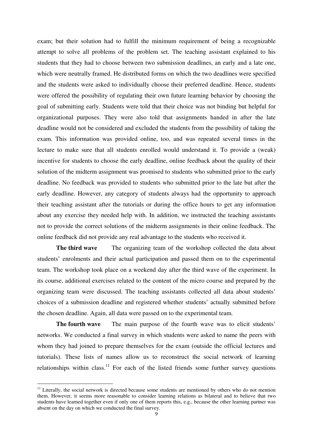exam; but their solution had to fulfill the minimum requirement of being a recognizable attempt to solve all problems of the problem set. The teaching assistant explained to his students that they had to choose between two submission deadlines, an early and a late one, which were neutrally framed. He distributed forms on which the two deadlines were specified and the students were asked to individually choose their preferred deadline. Hence, students were offered the possibility of regulating their own future learning behavior by choosing the goal of submitting early. Students were told that their choice was not binding but helpful for organizational purposes. They were also told that assignments handed in after the late deadline would not be considered and excluded the students from the possibility of taking the exam. This information was provided online, too, and was repeated several times in the lecture to make sure that all students enrolled would understand it. To provide a (weak) incentive for students to choose the early deadline, online feedback about the quality of their solution of the midterm assignment was promised to students who submitted prior to the early deadline. No feedback was provided to students who submitted prior to the late but after the early deadline. However, any category of students always had the opportunity to approach their teaching assistant after the tutorials or during the office hours to get any information about any exercise they needed help with. In addition, we instructed the teaching assistants not to provide the correct solutions of the midterm assignments in their online feedback. The online feedback did not provide any real advantage to the students who received it.

**The third wave** The organizing team of the workshop collected the data about students' enrolments and their actual participation and passed them on to the experimental team. The workshop took place on a weekend day after the third wave of the experiment. In its course, additional exercises related to the content of the micro course and prepared by the organizing team were discussed. The teaching assistants collected all data about students' choices of a submission deadline and registered whether students' actually submitted before the chosen deadline. Again, all data were passed on to the experimental team.

**The fourth wave** The main purpose of the fourth wave was to elicit students' networks. We conducted a final survey in which students were asked to name the peers with whom they had joined to prepare themselves for the exam (outside the official lectures and tutorials). These lists of names allow us to reconstruct the social network of learning relationships within class.<sup>11</sup> For each of the listed friends some further survey questions

 $11$  Literally, the social network is directed because some students are mentioned by others who do not mention them. However, it seems more reasonable to consider learning relations as bilateral and to believe that two students have learned together even if only one of them reports this, e.g., because the other learning partner was absent on the day on which we conducted the final survey.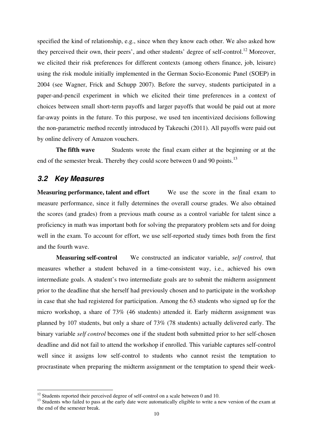specified the kind of relationship, e.g., since when they know each other. We also asked how they perceived their own, their peers', and other students' degree of self-control.<sup>12</sup> Moreover, we elicited their risk preferences for different contexts (among others finance, job, leisure) using the risk module initially implemented in the German Socio-Economic Panel (SOEP) in 2004 (see Wagner, Frick and Schupp 2007). Before the survey, students participated in a paper-and-pencil experiment in which we elicited their time preferences in a context of choices between small short-term payoffs and larger payoffs that would be paid out at more far-away points in the future. To this purpose, we used ten incentivized decisions following the non-parametric method recently introduced by Takeuchi (2011). All payoffs were paid out by online delivery of Amazon vouchers.

**The fifth wave** Students wrote the final exam either at the beginning or at the end of the semester break. Thereby they could score between 0 and 90 points.<sup>13</sup>

### **3.2 Key Measures**

<u>.</u>

**Measuring performance, talent and effort** We use the score in the final exam to measure performance, since it fully determines the overall course grades. We also obtained the scores (and grades) from a previous math course as a control variable for talent since a proficiency in math was important both for solving the preparatory problem sets and for doing well in the exam. To account for effort, we use self-reported study times both from the first and the fourth wave.

**Measuring self-control** We constructed an indicator variable, *self control,* that measures whether a student behaved in a time-consistent way, i.e., achieved his own intermediate goals. A student's two intermediate goals are to submit the midterm assignment prior to the deadline that she herself had previously chosen and to participate in the workshop in case that she had registered for participation. Among the 63 students who signed up for the micro workshop, a share of 73% (46 students) attended it. Early midterm assignment was planned by 107 students, but only a share of 73% (78 students) actually delivered early. The binary variable *self control* becomes one if the student both submitted prior to her self-chosen deadline and did not fail to attend the workshop if enrolled. This variable captures self-control well since it assigns low self-control to students who cannot resist the temptation to procrastinate when preparing the midterm assignment or the temptation to spend their week-

 $12$  Students reported their perceived degree of self-control on a scale between 0 and 10.

<sup>&</sup>lt;sup>13</sup> Students who failed to pass at the early date were automatically eligible to write a new version of the exam at the end of the semester break.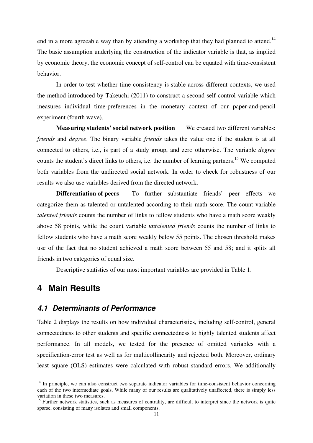end in a more agreeable way than by attending a workshop that they had planned to attend.<sup>14</sup> The basic assumption underlying the construction of the indicator variable is that, as implied by economic theory, the economic concept of self-control can be equated with time-consistent behavior.

In order to test whether time-consistency is stable across different contexts, we used the method introduced by Takeuchi (2011) to construct a second self-control variable which measures individual time-preferences in the monetary context of our paper-and-pencil experiment (fourth wave).

**Measuring students' social network position** We created two different variables: *friends* and *degree*. The binary variable *friends* takes the value one if the student is at all connected to others, i.e., is part of a study group, and zero otherwise. The variable *degree* counts the student's direct links to others, i.e. the number of learning partners.<sup>15</sup> We computed both variables from the undirected social network. In order to check for robustness of our results we also use variables derived from the directed network.

**Differentiation of peers** To further substantiate friends' peer effects we categorize them as talented or untalented according to their math score. The count variable *talented friends* counts the number of links to fellow students who have a math score weakly above 58 points, while the count variable *untalented friends* counts the number of links to fellow students who have a math score weakly below 55 points. The chosen threshold makes use of the fact that no student achieved a math score between 55 and 58; and it splits all friends in two categories of equal size.

Descriptive statistics of our most important variables are provided in Table 1.

## **4 Main Results**

-

### **4.1 Determinants of Performance**

Table 2 displays the results on how individual characteristics, including self-control, general connectedness to other students and specific connectedness to highly talented students affect performance. In all models, we tested for the presence of omitted variables with a specification-error test as well as for multicollinearity and rejected both. Moreover, ordinary least square (OLS) estimates were calculated with robust standard errors. We additionally

<sup>&</sup>lt;sup>14</sup> In principle, we can also construct two separate indicator variables for time-consistent behavior concerning each of the two intermediate goals. While many of our results are qualitatively unaffected, there is simply less variation in these two measures.

<sup>&</sup>lt;sup>15</sup> Further network statistics, such as measures of centrality, are difficult to interpret since the network is quite sparse, consisting of many isolates and small components.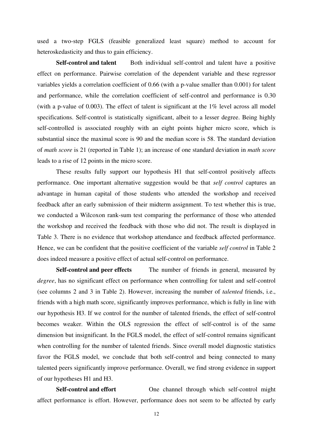used a two-step FGLS (feasible generalized least square) method to account for heteroskedasticity and thus to gain efficiency.

**Self-control and talent** Both individual self-control and talent have a positive effect on performance. Pairwise correlation of the dependent variable and these regressor variables yields a correlation coefficient of 0.66 (with a p-value smaller than 0.001) for talent and performance, while the correlation coefficient of self-control and performance is 0.30 (with a p-value of 0.003). The effect of talent is significant at the 1% level across all model specifications. Self-control is statistically significant, albeit to a lesser degree. Being highly self-controlled is associated roughly with an eight points higher micro score, which is substantial since the maximal score is 90 and the median score is 58. The standard deviation of *math score* is 21 (reported in Table 1); an increase of one standard deviation in *math score* leads to a rise of 12 points in the micro score.

These results fully support our hypothesis H1 that self-control positively affects performance. One important alternative suggestion would be that *self control* captures an advantage in human capital of those students who attended the workshop and received feedback after an early submission of their midterm assignment. To test whether this is true, we conducted a Wilcoxon rank-sum test comparing the performance of those who attended the workshop and received the feedback with those who did not. The result is displayed in Table 3. There is no evidence that workshop attendance and feedback affected performance. Hence, we can be confident that the positive coefficient of the variable *self control* in Table 2 does indeed measure a positive effect of actual self-control on performance.

**Self-control and peer effects** The number of friends in general, measured by *degree*, has no significant effect on performance when controlling for talent and self-control (see columns 2 and 3 in Table 2). However, increasing the number of *talented* friends, i.e., friends with a high math score, significantly improves performance, which is fully in line with our hypothesis H3. If we control for the number of talented friends, the effect of self-control becomes weaker. Within the OLS regression the effect of self-control is of the same dimension but insignificant. In the FGLS model, the effect of self-control remains significant when controlling for the number of talented friends. Since overall model diagnostic statistics favor the FGLS model, we conclude that both self-control and being connected to many talented peers significantly improve performance. Overall, we find strong evidence in support of our hypotheses H1 and H3.

**Self-control and effort** One channel through which self-control might affect performance is effort. However, performance does not seem to be affected by early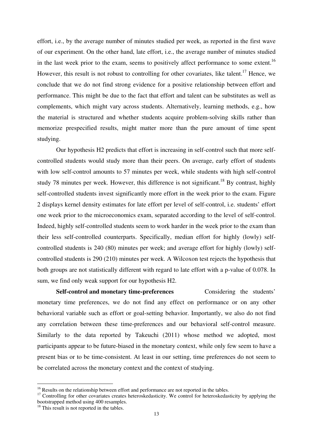effort, i.e., by the average number of minutes studied per week, as reported in the first wave of our experiment. On the other hand, late effort, i.e., the average number of minutes studied in the last week prior to the exam, seems to positively affect performance to some extent.<sup>16</sup> However, this result is not robust to controlling for other covariates, like talent.<sup>17</sup> Hence, we conclude that we do not find strong evidence for a positive relationship between effort and performance. This might be due to the fact that effort and talent can be substitutes as well as complements, which might vary across students. Alternatively, learning methods, e.g., how the material is structured and whether students acquire problem-solving skills rather than memorize prespecified results, might matter more than the pure amount of time spent studying.

Our hypothesis H2 predicts that effort is increasing in self-control such that more selfcontrolled students would study more than their peers. On average, early effort of students with low self-control amounts to 57 minutes per week, while students with high self-control study 78 minutes per week. However, this difference is not significant.<sup>18</sup> By contrast, highly self-controlled students invest significantly more effort in the week prior to the exam. Figure 2 displays kernel density estimates for late effort per level of self-control, i.e. students' effort one week prior to the microeconomics exam, separated according to the level of self-control. Indeed, highly self-controlled students seem to work harder in the week prior to the exam than their less self-controlled counterparts. Specifically, median effort for highly (lowly) selfcontrolled students is 240 (80) minutes per week; and average effort for highly (lowly) selfcontrolled students is 290 (210) minutes per week. A Wilcoxon test rejects the hypothesis that both groups are not statistically different with regard to late effort with a p-value of 0.078. In sum, we find only weak support for our hypothesis H2.

Self-control and monetary time-preferences Considering the students' monetary time preferences, we do not find any effect on performance or on any other behavioral variable such as effort or goal-setting behavior. Importantly, we also do not find any correlation between these time-preferences and our behavioral self-control measure. Similarly to the data reported by Takeuchi (2011) whose method we adopted, most participants appear to be future-biased in the monetary context, while only few seem to have a present bias or to be time-consistent. At least in our setting, time preferences do not seem to be correlated across the monetary context and the context of studying.

<sup>&</sup>lt;sup>16</sup> Results on the relationship between effort and performance are not reported in the tables.

<sup>&</sup>lt;sup>17</sup> Controlling for other covariates creates heteroskedasticity. We control for heteroskedasticity by applying the bootstrapped method using 400 resamples.

<sup>&</sup>lt;sup>18</sup> This result is not reported in the tables.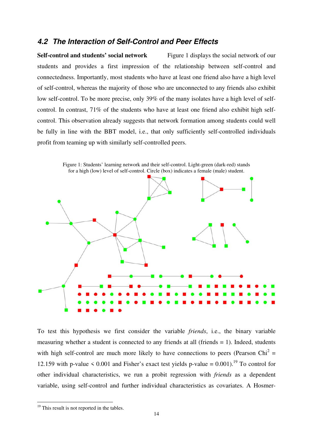### **4.2 The Interaction of Self-Control and Peer Effects**

**Self-control and students' social network** Figure 1 displays the social network of our students and provides a first impression of the relationship between self-control and connectedness. Importantly, most students who have at least one friend also have a high level of self-control, whereas the majority of those who are unconnected to any friends also exhibit low self-control. To be more precise, only 39% of the many isolates have a high level of selfcontrol. In contrast, 71% of the students who have at least one friend also exhibit high selfcontrol. This observation already suggests that network formation among students could well be fully in line with the BBT model, i.e., that only sufficiently self-controlled individuals profit from teaming up with similarly self-controlled peers.



To test this hypothesis we first consider the variable *friends*, i.e., the binary variable measuring whether a student is connected to any friends at all (friends  $= 1$ ). Indeed, students with high self-control are much more likely to have connections to peers (Pearson Chi<sup>2</sup> = 12.159 with p-value  $\le 0.001$  and Fisher's exact test yields p-value = 0.001).<sup>19</sup> To control for other individual characteristics, we run a probit regression with *friends* as a dependent variable, using self-control and further individual characteristics as covariates. A Hosmer-

<sup>&</sup>lt;sup>19</sup> This result is not reported in the tables.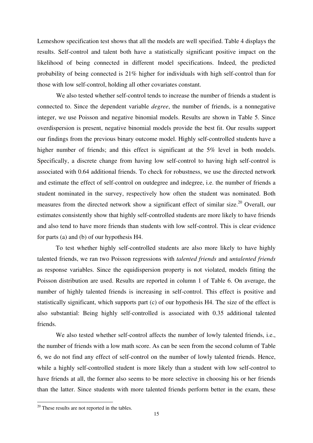Lemeshow specification test shows that all the models are well specified. Table 4 displays the results. Self-control and talent both have a statistically significant positive impact on the likelihood of being connected in different model specifications. Indeed, the predicted probability of being connected is 21% higher for individuals with high self-control than for those with low self-control, holding all other covariates constant.

We also tested whether self-control tends to increase the number of friends a student is connected to. Since the dependent variable *degree*, the number of friends, is a nonnegative integer, we use Poisson and negative binomial models. Results are shown in Table 5. Since overdispersion is present, negative binomial models provide the best fit. Our results support our findings from the previous binary outcome model. Highly self-controlled students have a higher number of friends; and this effect is significant at the 5% level in both models. Specifically, a discrete change from having low self-control to having high self-control is associated with 0.64 additional friends. To check for robustness, we use the directed network and estimate the effect of self-control on outdegree and indegree, i.e. the number of friends a student nominated in the survey, respectively how often the student was nominated. Both measures from the directed network show a significant effect of similar size.<sup>20</sup> Overall, our estimates consistently show that highly self-controlled students are more likely to have friends and also tend to have more friends than students with low self-control. This is clear evidence for parts (a) and (b) of our hypothesis H4.

To test whether highly self-controlled students are also more likely to have highly talented friends, we ran two Poisson regressions with *talented friends* and *untalented friends* as response variables. Since the equidispersion property is not violated, models fitting the Poisson distribution are used. Results are reported in column 1 of Table 6. On average, the number of highly talented friends is increasing in self-control. This effect is positive and statistically significant, which supports part (c) of our hypothesis H4. The size of the effect is also substantial: Being highly self-controlled is associated with 0.35 additional talented friends.

We also tested whether self-control affects the number of lowly talented friends, i.e., the number of friends with a low math score. As can be seen from the second column of Table 6, we do not find any effect of self-control on the number of lowly talented friends. Hence, while a highly self-controlled student is more likely than a student with low self-control to have friends at all, the former also seems to be more selective in choosing his or her friends than the latter. Since students with more talented friends perform better in the exam, these

<sup>&</sup>lt;sup>20</sup> These results are not reported in the tables.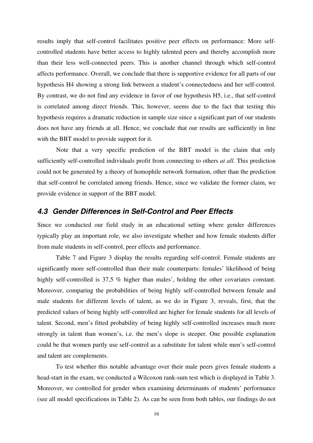results imply that self-control facilitates positive peer effects on performance: More selfcontrolled students have better access to highly talented peers and thereby accomplish more than their less well-connected peers. This is another channel through which self-control affects performance. Overall, we conclude that there is supportive evidence for all parts of our hypothesis H4 showing a strong link between a student's connectedness and her self-control. By contrast, we do not find any evidence in favor of our hypothesis H5, i.e., that self-control is correlated among direct friends. This, however, seems due to the fact that testing this hypothesis requires a dramatic reduction in sample size since a significant part of our students does not have any friends at all. Hence, we conclude that our results are sufficiently in line with the BBT model to provide support for it.

Note that a very specific prediction of the BBT model is the claim that only sufficiently self-controlled individuals profit from connecting to others *at all*. This prediction could not be generated by a theory of homophile network formation, other than the prediction that self-control be correlated among friends. Hence, since we validate the former claim, we provide evidence in support of the BBT model.

### **4.3 Gender Differences in Self-Control and Peer Effects**

Since we conducted our field study in an educational setting where gender differences typically play an important role, we also investigate whether and how female students differ from male students in self-control, peer effects and performance.

Table 7 and Figure 3 display the results regarding self-control. Female students are significantly more self-controlled than their male counterparts: females' likelihood of being highly self-controlled is 37,5 % higher than males', holding the other covariates constant. Moreover, comparing the probabilities of being highly self-controlled between female and male students for different levels of talent, as we do in Figure 3, reveals, first, that the predicted values of being highly self-controlled are higher for female students for all levels of talent. Second, men's fitted probability of being highly self-controlled increases much more strongly in talent than women's, i.e. the men's slope is steeper. One possible explanation could be that women partly use self-control as a substitute for talent while men's self-control and talent are complements.

To test whether this notable advantage over their male peers gives female students a head-start in the exam, we conducted a Wilcoxon rank-sum test which is displayed in Table 3. Moreover, we controlled for gender when examining determinants of students' performance (see all model specifications in Table 2). As can be seen from both tables, our findings do not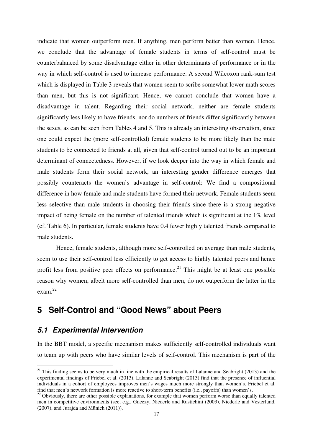indicate that women outperform men. If anything, men perform better than women. Hence, we conclude that the advantage of female students in terms of self-control must be counterbalanced by some disadvantage either in other determinants of performance or in the way in which self-control is used to increase performance. A second Wilcoxon rank-sum test which is displayed in Table 3 reveals that women seem to scribe somewhat lower math scores than men, but this is not significant. Hence, we cannot conclude that women have a disadvantage in talent. Regarding their social network, neither are female students significantly less likely to have friends, nor do numbers of friends differ significantly between the sexes, as can be seen from Tables 4 and 5. This is already an interesting observation, since one could expect the (more self-controlled) female students to be more likely than the male students to be connected to friends at all, given that self-control turned out to be an important determinant of connectedness. However, if we look deeper into the way in which female and male students form their social network, an interesting gender difference emerges that possibly counteracts the women's advantage in self-control: We find a compositional difference in how female and male students have formed their network. Female students seem less selective than male students in choosing their friends since there is a strong negative impact of being female on the number of talented friends which is significant at the 1% level (cf. Table 6). In particular, female students have 0.4 fewer highly talented friends compared to male students.

Hence, female students, although more self-controlled on average than male students, seem to use their self-control less efficiently to get access to highly talented peers and hence profit less from positive peer effects on performance.<sup>21</sup> This might be at least one possible reason why women, albeit more self-controlled than men, do not outperform the latter in the exam. $^{22}$ 

## **5 Self-Control and "Good News" about Peers**

### **5.1 Experimental Intervention**

-

In the BBT model, a specific mechanism makes sufficiently self-controlled individuals want to team up with peers who have similar levels of self-control. This mechanism is part of the

<sup>&</sup>lt;sup>21</sup> This finding seems to be very much in line with the empirical results of Lalanne and Seabright (2013) and the experimental findings of Friebel et al. (2013). Lalanne and Seabright (2013) find that the presence of influential individuals in a cohort of employees improves men's wages much more strongly than women's. Friebel et al. find that men's network formation is more reactive to short-term benefits (i.e., payoffs) than women's.

<sup>&</sup>lt;sup>22</sup> Obviously, there are other possible explanations, for example that women perform worse than equally talented men in competitive environments (see, e.g., Gneezy, Niederle and Rustichini (2003), Niederle and Vesterlund, (2007), and Jurajda and Münich (2011)).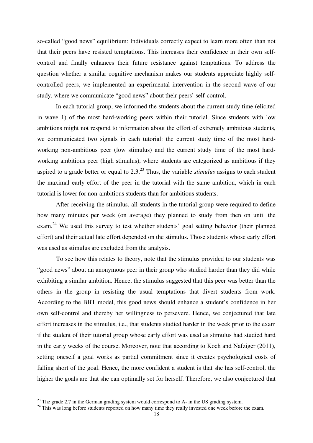so-called "good news" equilibrium: Individuals correctly expect to learn more often than not that their peers have resisted temptations. This increases their confidence in their own selfcontrol and finally enhances their future resistance against temptations. To address the question whether a similar cognitive mechanism makes our students appreciate highly selfcontrolled peers, we implemented an experimental intervention in the second wave of our study, where we communicate "good news" about their peers' self-control.

In each tutorial group, we informed the students about the current study time (elicited in wave 1) of the most hard-working peers within their tutorial. Since students with low ambitions might not respond to information about the effort of extremely ambitious students, we communicated two signals in each tutorial: the current study time of the most hardworking non-ambitious peer (low stimulus) and the current study time of the most hardworking ambitious peer (high stimulus), where students are categorized as ambitious if they aspired to a grade better or equal to 2.3.<sup>23</sup> Thus, the variable *stimulus* assigns to each student the maximal early effort of the peer in the tutorial with the same ambition, which in each tutorial is lower for non-ambitious students than for ambitious students.

After receiving the stimulus, all students in the tutorial group were required to define how many minutes per week (on average) they planned to study from then on until the exam.<sup>24</sup> We used this survey to test whether students' goal setting behavior (their planned effort) and their actual late effort depended on the stimulus. Those students whose early effort was used as stimulus are excluded from the analysis.

To see how this relates to theory, note that the stimulus provided to our students was "good news" about an anonymous peer in their group who studied harder than they did while exhibiting a similar ambition. Hence, the stimulus suggested that this peer was better than the others in the group in resisting the usual temptations that divert students from work. According to the BBT model, this good news should enhance a student's confidence in her own self-control and thereby her willingness to persevere. Hence, we conjectured that late effort increases in the stimulus, i.e., that students studied harder in the week prior to the exam if the student of their tutorial group whose early effort was used as stimulus had studied hard in the early weeks of the course. Moreover, note that according to Koch and Nafziger (2011), setting oneself a goal works as partial commitment since it creates psychological costs of falling short of the goal. Hence, the more confident a student is that she has self-control, the higher the goals are that she can optimally set for herself. Therefore, we also conjectured that

 $^{23}$  The grade 2.7 in the German grading system would correspond to A- in the US grading system.

<sup>&</sup>lt;sup>24</sup> This was long before students reported on how many time they really invested one week before the exam.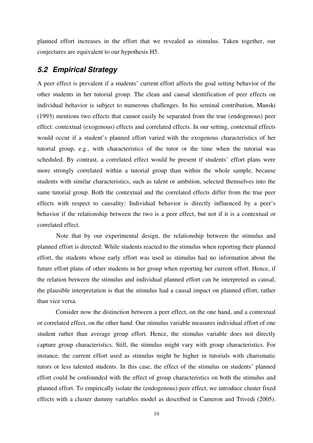planned effort increases in the effort that we revealed as stimulus. Taken together, our conjectures are equivalent to our hypothesis H5.

### **5.2 Empirical Strategy**

A peer effect is prevalent if a students' current effort affects the goal setting behavior of the other students in her tutorial group. The clean and causal identification of peer effects on individual behavior is subject to numerous challenges. In his seminal contribution, Manski (1993) mentions two effects that cannot easily be separated from the true (endogenous) peer effect: contextual (exogenous) effects and correlated effects. In our setting, contextual effects would occur if a student's planned effort varied with the exogenous characteristics of her tutorial group, e.g., with characteristics of the tutor or the time when the tutorial was scheduled. By contrast, a correlated effect would be present if students' effort plans were more strongly correlated within a tutorial group than within the whole sample, because students with similar characteristics, such as talent or ambition, selected themselves into the same tutorial group. Both the contextual and the correlated effects differ from the true peer effects with respect to causality: Individual behavior is directly influenced by a peer's behavior if the relationship between the two is a peer effect, but not if it is a contextual or correlated effect.

Note that by our experimental design, the relationship between the stimulus and planned effort is directed: While students reacted to the stimulus when reporting their planned effort, the students whose early effort was used as stimulus had no information about the future effort plans of other students in her group when reporting her current effort. Hence, if the relation between the stimulus and individual planned effort can be interpreted as causal, the plausible interpretation is that the stimulus had a causal impact on planned effort, rather than vice versa.

Consider now the distinction between a peer effect, on the one hand, and a contextual or correlated effect, on the other hand. Our stimulus variable measures individual effort of one student rather than average group effort. Hence, the stimulus variable does not directly capture group characteristics. Still, the stimulus might vary with group characteristics. For instance, the current effort used as stimulus might be higher in tutorials with charismatic tutors or less talented students. In this case, the effect of the stimulus on students' planned effort could be confounded with the effect of group characteristics on both the stimulus and planned effort. To empirically isolate the (endogenous) peer effect, we introduce cluster fixed effects with a cluster dummy variables model as described in Cameron and Trivedi (2005).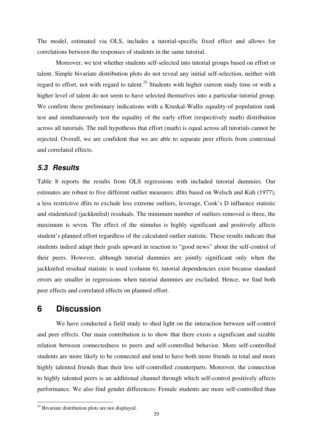The model, estimated via OLS, includes a tutorial-specific fixed effect and allows for correlations between the responses of students in the same tutorial.

Moreover, we test whether students self-selected into tutorial groups based on effort or talent. Simple bivariate distribution plots do not reveal any initial self-selection, neither with regard to effort, not with regard to talent.<sup>25</sup> Students with higher current study time or with a higher level of talent do not seem to have selected themselves into a particular tutorial group. We confirm these preliminary indications with a Kruskal-Wallis equality-of population rank test and simultaneously test the equality of the early effort (respectively math) distribution across all tutorials. The null hypothesis that effort (math) is equal across all tutorials cannot be rejected. Overall, we are confident that we are able to separate peer effects from contextual and correlated effects.

### **5.3 Results**

Table 8 reports the results from OLS regressions with included tutorial dummies. Our estimates are robust to five different outlier measures: dfits based on Welsch and Kuh (1977), a less restrictive dfits to exclude less extreme outliers, leverage, Cook's D influence statistic and studentized (jackknifed) residuals. The minimum number of outliers removed is three, the maximum is seven. The effect of the stimulus is highly significant and positively affects student's planned effort regardless of the calculated outlier statistic. These results indicate that students indeed adapt their goals upward in reaction to "good news" about the self-control of their peers. However, although tutorial dummies are jointly significant only when the jackknifed residual statistic is used (column 6), tutorial dependencies exist because standard errors are smaller in regressions when tutorial dummies are excluded. Hence, we find both peer effects and correlated effects on planned effort.

## **6 Discussion**

-

We have conducted a field study to shed light on the interaction between self-control and peer effects. Our main contribution is to show that there exists a significant and sizable relation between connectedness to peers and self-controlled behavior. More self-controlled students are more likely to be connected and tend to have both more friends in total and more highly talented friends than their less self-controlled counterparts. Moreover, the connection to highly talented peers is an additional channel through which self-control positively affects performance. We also find gender differences: Female students are more self-controlled than

<sup>&</sup>lt;sup>25</sup> Bivariate distribution plots are not displayed.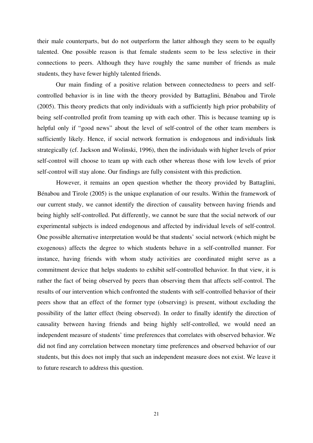their male counterparts, but do not outperform the latter although they seem to be equally talented. One possible reason is that female students seem to be less selective in their connections to peers. Although they have roughly the same number of friends as male students, they have fewer highly talented friends.

Our main finding of a positive relation between connectedness to peers and selfcontrolled behavior is in line with the theory provided by Battaglini, Bénabou and Tirole (2005). This theory predicts that only individuals with a sufficiently high prior probability of being self-controlled profit from teaming up with each other. This is because teaming up is helpful only if "good news" about the level of self-control of the other team members is sufficiently likely. Hence, if social network formation is endogenous and individuals link strategically (cf. Jackson and Wolinski, 1996), then the individuals with higher levels of prior self-control will choose to team up with each other whereas those with low levels of prior self-control will stay alone. Our findings are fully consistent with this prediction.

However, it remains an open question whether the theory provided by Battaglini, Bénabou and Tirole (2005) is the unique explanation of our results. Within the framework of our current study, we cannot identify the direction of causality between having friends and being highly self-controlled. Put differently, we cannot be sure that the social network of our experimental subjects is indeed endogenous and affected by individual levels of self-control. One possible alternative interpretation would be that students' social network (which might be exogenous) affects the degree to which students behave in a self-controlled manner. For instance, having friends with whom study activities are coordinated might serve as a commitment device that helps students to exhibit self-controlled behavior. In that view, it is rather the fact of being observed by peers than observing them that affects self-control. The results of our intervention which confronted the students with self-controlled behavior of their peers show that an effect of the former type (observing) is present, without excluding the possibility of the latter effect (being observed). In order to finally identify the direction of causality between having friends and being highly self-controlled, we would need an independent measure of students' time preferences that correlates with observed behavior. We did not find any correlation between monetary time preferences and observed behavior of our students, but this does not imply that such an independent measure does not exist. We leave it to future research to address this question.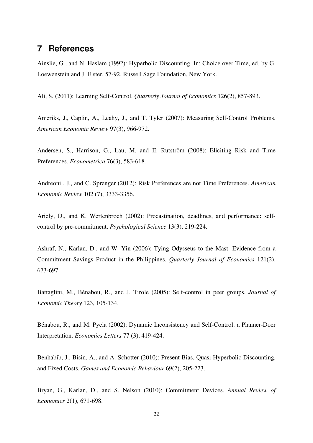## **7 References**

Ainslie, G., and N. Haslam (1992): Hyperbolic Discounting. In: Choice over Time, ed. by G. Loewenstein and J. Elster, 57-92. Russell Sage Foundation, New York.

Ali, S. (2011): Learning Self-Control. *Quarterly Journal of Economics* 126(2), 857-893.

Ameriks, J., Caplin, A., Leahy, J., and T. Tyler (2007): Measuring Self-Control Problems. *American Economic Review* 97(3), 966-972.

Andersen, S., Harrison, G., Lau, M. and E. Rutström (2008): Eliciting Risk and Time Preferences. *Econometrica* 76(3), 583-618.

Andreoni , J., and C. Sprenger (2012): Risk Preferences are not Time Preferences. *American Economic Review* 102 (7), 3333-3356.

Ariely, D., and K. Wertenbroch (2002): Procastination, deadlines, and performance: selfcontrol by pre-commitment. *Psychological Science* 13(3), 219-224.

Ashraf, N., Karlan, D., and W. Yin (2006): Tying Odysseus to the Mast: Evidence from a Commitment Savings Product in the Philippines. *Quarterly Journal of Economics* 121(2), 673-697.

Battaglini, M., Bénabou, R., and J. Tirole (2005): Self-control in peer groups. *Journal of Economic Theory* 123, 105-134.

Bénabou, R., and M. Pycia (2002): Dynamic Inconsistency and Self-Control: a Planner-Doer Interpretation. *Economics Letters* 77 (3), 419-424.

Benhabib, J., Bisin, A., and A. Schotter (2010): Present Bias, Quasi Hyperbolic Discounting, and Fixed Costs. *Games and Economic Behaviour* 69(2), 205-223.

Bryan, G., Karlan, D., and S. Nelson (2010): Commitment Devices. *Annual Review of Economics* 2(1), 671-698.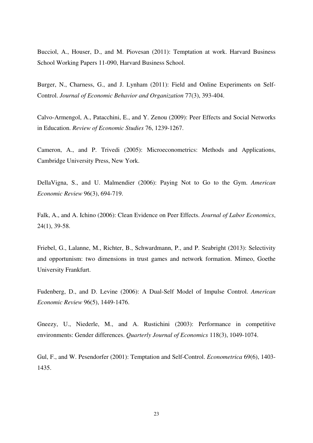Bucciol, A., Houser, D., and M. Piovesan (2011): Temptation at work. Harvard Business School Working Papers 11-090, Harvard Business School.

Burger, N., Charness, G., and J. Lynham (2011): Field and Online Experiments on Self-Control. *Journal of Economic Behavior and Organization* 77(3), 393-404.

Calvo-Armengol, A., Patacchini, E., and Y. Zenou (2009): Peer Effects and Social Networks in Education. *Review of Economic Studies* 76, 1239-1267.

Cameron, A., and P. Trivedi (2005): Microeconometrics: Methods and Applications, Cambridge University Press, New York.

DellaVigna, S., and U. Malmendier (2006): Paying Not to Go to the Gym. *American Economic Review* 96(3), 694-719.

Falk, A., and A. Ichino (2006): Clean Evidence on Peer Effects. *Journal of Labor Economics*, 24(1), 39-58.

Friebel, G., Lalanne, M., Richter, B., Schwardmann, P., and P. Seabright (2013): Selectivity and opportunism: two dimensions in trust games and network formation. Mimeo, Goethe University Frankfurt.

Fudenberg, D., and D. Levine (2006): A Dual-Self Model of Impulse Control. *American Economic Review* 96(5), 1449-1476.

Gneezy, U., Niederle, M., and A. Rustichini (2003): Performance in competitive environments: Gender differences. *Quarterly Journal of Economics* 118(3), 1049-1074.

Gul, F., and W. Pesendorfer (2001): Temptation and Self-Control. *Econometrica* 69(6), 1403- 1435.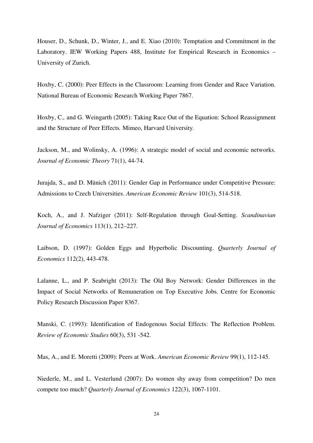Houser, D., Schunk, D., Winter, J., and E. Xiao (2010): Temptation and Commitment in the Laboratory. IEW Working Papers 488, Institute for Empirical Research in Economics – University of Zurich.

Hoxby, C. (2000): Peer Effects in the Classroom: Learning from Gender and Race Variation. National Bureau of Economic Research Working Paper 7867.

Hoxby, C.*,* and G. Weingarth (2005): Taking Race Out of the Equation: School Reassignment and the Structure of Peer Effects*.* Mimeo, Harvard University*.* 

Jackson, M., and Wolinsky, A. (1996): A strategic model of social and economic networks. *Journal of Economic Theory* 71(1), 44-74.

Jurajda, S., and D. Münich (2011): Gender Gap in Performance under Competitive Pressure: Admissions to Czech Universities. *American Economic Review* 101(3), 514-518.

Koch, A., and J. Nafziger (2011): Self-Regulation through Goal-Setting. *Scandinavian Journal of Economics* 113(1), 212–227.

Laibson, D. (1997): Golden Eggs and Hyperbolic Discounting. *Quarterly Journal of Economics* 112(2), 443-478.

Lalanne, L., and P. Seabright (2013): The Old Boy Network: Gender Differences in the Impact of Social Networks of Remuneration on Top Executive Jobs. Centre for Economic Policy Research Discussion Paper 8367.

Manski, C. (1993): Identification of Endogenous Social Effects: The Reflection Problem. *Review of Economic Studies* 60(3), 531 -542.

Mas, A., and E. Moretti (2009): Peers at Work. *American Economic Review* 99(1), 112-145.

Niederle, M., and L. Vesterlund (2007): Do women shy away from competition? Do men compete too much? *Quarterly Journal of Economics* 122(3), 1067-1101.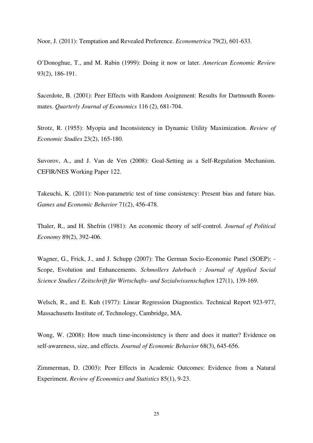Noor, J. (2011): Temptation and Revealed Preference. *Econometrica* 79(2), 601-633.

O'Donoghue, T., and M. Rabin (1999): Doing it now or later. *American Economic Review* 93(2), 186-191.

Sacerdote, B. (2001): Peer Effects with Random Assignment: Results for Dartmouth Roommates. *Quarterly Journal of Economics* 116 (2), 681-704.

Strotz, R. (1955): Myopia and Inconsistency in Dynamic Utility Maximization. *Review of Economic Studies* 23(2), 165-180.

Suvorov, A., and J. Van de Ven (2008): Goal-Setting as a Self-Regulation Mechanism. CEFIR/NES Working Paper 122.

Takeuchi, K. (2011): Non-parametric test of time consistency: Present bias and future bias. *Games and Economic Behavior* 71(2), 456-478.

Thaler, R., and H. Shefrin (1981): An economic theory of self-control. *Journal of Political Economy* 89(2), 392-406.

Wagner, G., Frick, J., and J. Schupp (2007): The German Socio-Economic Panel (SOEP): - Scope, Evolution and Enhancements. *Schmollers Jahrbuch : Journal of Applied Social Science Studies / Zeitschrift für Wirtschafts- und Sozialwissenschaften* 127(1), 139-169.

Welsch, R., and E. Kuh (1977): Linear Regression Diagnostics. Technical Report 923-977, Massachusetts Institute of, Technology, Cambridge, MA.

Wong, W. (2008): How much time-inconsistency is there and does it matter? Evidence on self-awareness, size, and effects. *Journal of Economic Behavior* 68(3), 645-656.

Zimmerman, D. (2003): Peer Effects in Academic Outcomes: Evidence from a Natural Experiment. *Review of Economics and Statistics* 85(1), 9-23.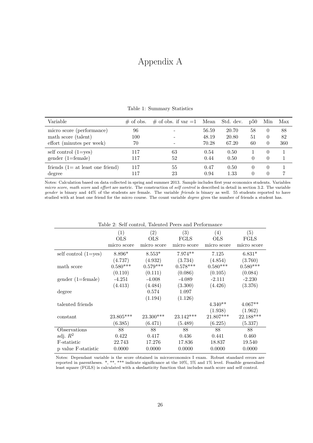# Appendix A

| Variable                          | $\#$ of obs. | $\#$ of obs. if var $=1$ | Mean  | Std. dev. | $\mathrm{D}50$ | Min              | Max |
|-----------------------------------|--------------|--------------------------|-------|-----------|----------------|------------------|-----|
| micro score (performance)         | 96           |                          | 56.59 | 20.70     | 58             | $\theta$         | 88  |
| math score (talent)               | 100          |                          | 48.19 | 20.80     | 51             | $\theta$         | 82  |
| effort (minutes per week)         | 70           |                          | 70.28 | 67.20     | 60             | 0                | 360 |
| self control $(1 = yes)$          | 117          | 63                       | 0.54  | 0.50      |                | $\Omega$         |     |
| $gender (1=female)$               | 117          | 52                       | 0.44  | 0.50      |                | $\left( \right)$ |     |
| friends $(1=at least one friend)$ | 117          | 55                       | 0.47  | 0.50      |                | $\Omega$         |     |
| degree                            | 117          | 23                       | 0.94  | 1.33      |                |                  |     |

Table 1: Summary Statistics

Notes: Calculation based on data collected in spring and summer 2013. Sample includes first year economics students. Variables *micro score*, *math score* and *effort* are metric. The construction of *self control* is described in detail in section 3.2. The variable *gender* is binary and 44% of the students are female. The variable *friends* is binary as well. 55 students reported to have studied with at least one friend for the micro course. The count variable *degree* gives the number of friends a student has.

| Table 2: Self control, Talented Peers and Performance |             |             |             |             |             |  |  |
|-------------------------------------------------------|-------------|-------------|-------------|-------------|-------------|--|--|
|                                                       | (1)         | (2)         | (3)         | (4)         | (5)         |  |  |
|                                                       | OLS         | <b>OLS</b>  | FGLS        | OLS         | FGLS        |  |  |
|                                                       | micro score | micro score | micro score | micro score | micro score |  |  |
| self control $(1 = yes)$                              | $8.896*$    | $8.553*$    | $7.974**$   | 7.125       | $6.831*$    |  |  |
|                                                       | (4.737)     | (4.932)     | (3.734)     | (4.854)     | (3.760)     |  |  |
| math score                                            | $0.580***$  | $0.579***$  | $0.578***$  | $0.580***$  | $0.580***$  |  |  |
|                                                       | (0.110)     | (0.111)     | (0.086)     | (0.105)     | (0.084)     |  |  |
| $gender (1=female)$                                   | $-4.251$    | $-4.008$    | $-4.089$    | $-2.111$    | $-2.230$    |  |  |
|                                                       | (4.413)     | (4.484)     | (3.300)     | (4.426)     | (3.376)     |  |  |
| degree                                                |             | 0.574       | 1.097       |             |             |  |  |
|                                                       |             | (1.194)     | (1.126)     |             |             |  |  |
| talented friends                                      |             |             |             | $4.340**$   | $4.067**$   |  |  |
|                                                       |             |             |             | (1.938)     | (1.962)     |  |  |
| constant                                              | $23.805***$ | 23.300***   | $23.142***$ | 21.807***   | 22.188***   |  |  |
|                                                       | (6.385)     | (6.471)     | (5.489)     | (6.225)     | (5.337)     |  |  |
| Observations                                          | 88          | 88          | 88          | 88          | 88          |  |  |
| adj. $R^2$                                            | 0.422       | 0.417       | 0.436       | 0.441       | 0.460       |  |  |
| F-statistic                                           | 22.743      | 17.276      | 17.836      | 18.837      | 19.540      |  |  |
| p value F-statistic                                   | 0.0000      | 0.0000      | 0.0000      | 0.0000      | 0.0000      |  |  |

Notes: Dependant variable is the score obtained in microeconomics I exam. Robust standard errors are reported in parentheses. \*, \*\*, \*\*\* indicate significance at the 10%, 5% and 1% level. Feasible generalized least square (FGLS) is calculated with a skedasticity function that includes math score and self control.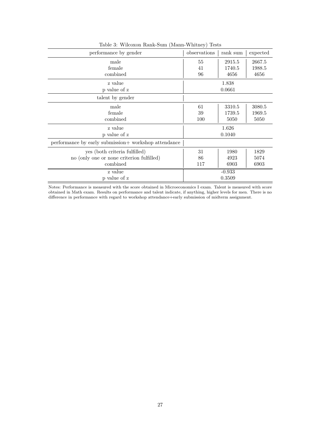| performance by gender                                | observations | rank sum | expected |
|------------------------------------------------------|--------------|----------|----------|
| male                                                 | 55           | 2915.5   | 2667.5   |
| female                                               | 41           | 1740.5   | 1988.5   |
| combined                                             | 96           | 4656     | 4656     |
| z value                                              |              | 1.838    |          |
| p value of z                                         |              | 0.0661   |          |
| talent by gender                                     |              |          |          |
| male                                                 | 61           | 3310.5   | 3080.5   |
| female                                               | 39           | 1739.5   | 1969.5   |
| combined                                             | 100          | 5050     | 5050     |
| z value                                              |              | 1.626    |          |
| p value of z                                         |              | 0.1040   |          |
| performance by early submission+ workshop attendance |              |          |          |
| yes (both criteria fulfilled)                        | 31           | 1980     | 1829     |
| no (only one or none criterion fulfilled)            | 86           | 4923     | 5074     |
| combined                                             | 117          | 6903     | 6903     |
| z value                                              |              | $-0.933$ |          |
| p value of z                                         |              | 0.3509   |          |

Table 3: Wilcoxon Rank-Sum (Mann-Whitney) Tests

Notes: Performance is measured with the score obtained in Microeconomics I exam. Talent is measured with score obtained in Math exam. Results on performance and talent indicate, if anything, higher levels for men. There is no difference in performance with regard to workshop attendance+early submission of midterm assignment.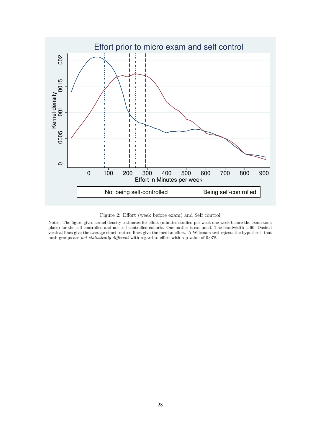

Figure 2: Effort (week before exam) and Self control

Notes: The figure gives kernel density estimates for effort (minutes studied per week one week before the exam took place) for the self-controlled and not self-controlled cohorts. One outlier is excluded. The bandwidth is 90. Dashed vertical lines give the average effort, dotted lines give the median effort. A Wilcoxon test *rejects* the hypothesis that both groups are *not statistically different* with regard to effort with a p-value of 0.078.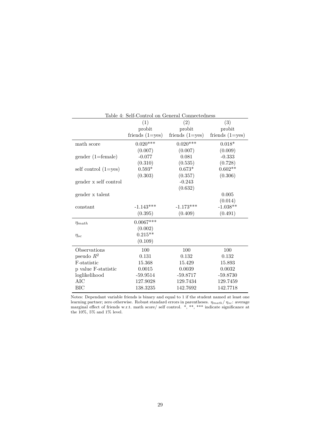| Table 4: Self-Control on General Connectedness |                     |                     |                     |  |  |  |
|------------------------------------------------|---------------------|---------------------|---------------------|--|--|--|
|                                                | (1)                 | (2)                 | (3)                 |  |  |  |
|                                                | probit              | probit              | probit              |  |  |  |
|                                                | friends $(1 = yes)$ | friends $(1 = yes)$ | friends $(1 = yes)$ |  |  |  |
| math score                                     | $0.020***$          | $0.020***$          | $0.018*$            |  |  |  |
|                                                | (0.007)             | (0.007)             | (0.009)             |  |  |  |
| $gender (1=female)$                            | $-0.077$            | 0.081               | $-0.333$            |  |  |  |
|                                                | (0.310)             | (0.535)             | (0.728)             |  |  |  |
| self control $(1=yes)$                         | $0.593*$            | $0.673*$            | $0.602**$           |  |  |  |
|                                                | (0.303)             | (0.357)             | (0.306)             |  |  |  |
| gender x self control                          |                     | $-0.243$            |                     |  |  |  |
|                                                |                     | (0.632)             |                     |  |  |  |
| gender x talent                                |                     |                     | 0.005               |  |  |  |
|                                                |                     |                     | (0.014)             |  |  |  |
| constant                                       | $-1.143***$         | $-1.173***$         | $-1.038**$          |  |  |  |
|                                                | (0.395)             | (0.409)             | (0.491)             |  |  |  |
| $\eta_{math}$                                  | $0.0067***$         |                     |                     |  |  |  |
|                                                | (0.002)             |                     |                     |  |  |  |
| $\eta_{sc}$                                    | $0.215**$           |                     |                     |  |  |  |
|                                                | (0.109)             |                     |                     |  |  |  |
| Observations                                   | 100                 | 100                 | 100                 |  |  |  |
| pseudo $R^2$                                   | 0.131               | 0.132               | 0.132               |  |  |  |
| F-statistic                                    | 15.368              | 15.429              | 15.893              |  |  |  |
| p value F-statistic                            | 0.0015              | 0.0039              | 0.0032              |  |  |  |
| loglikelihood                                  | $-59.9514$          | $-59.8717$          | $-59.8730$          |  |  |  |
| AIC                                            | 127.9028            | 129.7434            | 129.7459            |  |  |  |
| <b>BIC</b>                                     | 138.3235            | 142.7692            | 142.7718            |  |  |  |

Notes: Dependant variable friends is binary and equal to 1 if the student named at least one learning partner; zero otherwise. Robust standard errors in parentheses. *ηmath*/ *ηsc*: average marginal effect of friends w.r.t. math score/ self control. \*, \*\*, \*\*\* indicate significance at the 10%, 5% and 1% level.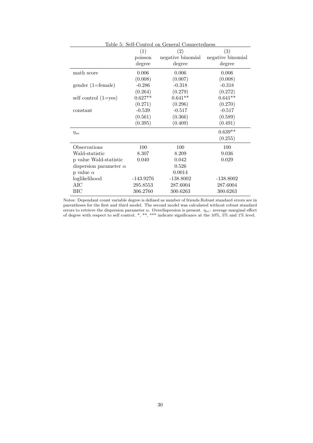|                               | (1)         | (2)               | (3)               |
|-------------------------------|-------------|-------------------|-------------------|
|                               | poisson     | negative binomial | negative binomial |
|                               | degree      | degree            | degree            |
| math score                    | 0.006       | 0.006             | 0.006             |
|                               | (0.008)     | (0.007)           | (0.008)           |
| $\gamma$ (1=female)           | $-0.286$    | $-0.318$          | $-0.318$          |
|                               | (0.264)     | (0.279)           | (0.272)           |
| self control $(1 = yes)$      | $0.627**$   | $0.641**$         | $0.641**$         |
|                               | (0.271)     | (0.296)           | (0.270)           |
| constant                      | $-0.539$    | $-0.517$          | $-0.517$          |
|                               | (0.561)     | (0.366)           | (0.589)           |
|                               | (0.395)     | (0.409)           | (0.491)           |
| $\eta_{sc}$                   |             |                   | $0.639**$         |
|                               |             |                   | (0.255)           |
| Observations                  | 100         | 100               | 100               |
| Wald-statistic                | 8.307       | 8.209             | 9.036             |
| p value Wald-statistic        | 0.040       | 0.042             | 0.029             |
| dispersion parameter $\alpha$ |             | 0.526             |                   |
| p value $\alpha$              |             | 0.0014            |                   |
| loglikelihood                 | $-143.9276$ | $-138.8002$       | $-138.8002$       |
| AIC                           | 295.8553    | 287.6004          | 287.6004          |
| BІC                           | 306.2760    | 300.6263          | 300.6263          |

Table 5: Self-Control on General Connectedness

Notes: Dependant count variable degree is defined as number of friends.Robust standard errors are in parentheses for the first and third model. The second model was calculated without robust standard errors to retrieve the dispersion parameter *α*. Overdispersion is present. *ηsc*: average marginal effect of degree with respect to self control. \*, \*\*, \*\*\* indicate significance at the 10%, 5% and 1% level.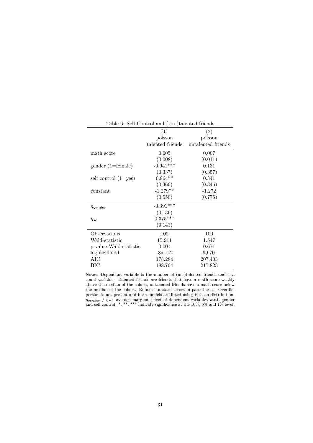|                          | (1)              | (2)                |
|--------------------------|------------------|--------------------|
|                          | poisson          | poisson            |
|                          | talented friends | untalented friends |
| math score               | 0.005            | 0.007              |
|                          | (0.008)          | (0.011)            |
| $\gamma$ (1=female)      | $-0.941***$      | 0.131              |
|                          | (0.337)          | (0.357)            |
| self control $(1 = yes)$ | $0.864**$        | 0.341              |
|                          | (0.360)          | (0.346)            |
| constant                 | $-1.279**$       | $-1.272$           |
|                          | (0.550)          | (0.775)            |
| $\eta_{gender}$          | $-0.391***$      |                    |
|                          | (0.136)          |                    |
| $\eta_{sc}$              | $0.375***$       |                    |
|                          | (0.141)          |                    |
| Observations             | 100              | 100                |
| Wald-statistic           | 15.911           | 1.547              |
| p value Wald-statistic   | 0.001            | 0.671              |
| loglikelihood            | $-85.142$        | $-99.701$          |
| AIC                      | 178.284          | 207.403            |
| BІC                      | 188.704          | 217.823            |
|                          |                  |                    |

Table 6: Self-Control and (Un-)talented friends

Notes: Dependant variable is the number of (un-)talented friends and is a count variable. Talented friends are friends that have a math score weakly above the median of the cohort, untalented friends have a math score below the median of the cohort. Robust standard errors in parentheses. Overdispersion is not present and both models are fitted using Poisson distribution. *ηgender* / *ηsc*: average marginal effect of dependent variables w.r.t. gender and self control. \*, \*\*, \*\*\* indicate significance at the 10%, 5% and 1% level.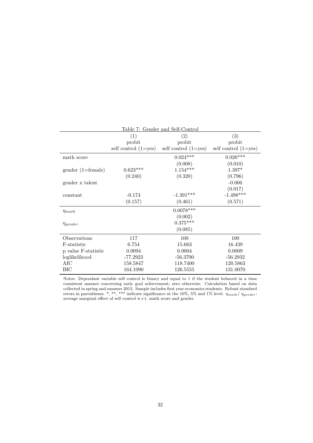|                     | Table 7: Gender and Self-Control |                          |                          |  |  |  |
|---------------------|----------------------------------|--------------------------|--------------------------|--|--|--|
|                     | (1)                              | (2)                      | (3)                      |  |  |  |
|                     | probit                           | probit                   | probit                   |  |  |  |
|                     | self control $(1 = yes)$         | self control $(1 = yes)$ | self control $(1 = yes)$ |  |  |  |
| math score          |                                  | $0.024***$               | $0.026***$               |  |  |  |
|                     |                                  | (0.008)                  | (0.010)                  |  |  |  |
| $gender (1=female)$ | $0.623***$                       | $1.154***$               | $1.397*$                 |  |  |  |
|                     | (0.240)                          | (0.320)                  | (0.796)                  |  |  |  |
| gender x talent     |                                  |                          | $-0.006$                 |  |  |  |
|                     |                                  |                          | (0.017)                  |  |  |  |
| constant            | $-0.174$                         | $-1.391***$              | $-1.498***$              |  |  |  |
|                     | (0.157)                          | (0.461)                  | (0.571)                  |  |  |  |
| $\eta_{math}$       |                                  | $0.0078***$              |                          |  |  |  |
|                     |                                  | (0.002)                  |                          |  |  |  |
| $\eta_{gender}$     |                                  | $0.375***$               |                          |  |  |  |
|                     |                                  | (0.085)                  |                          |  |  |  |
| Observations        | 117                              | 100                      | 100                      |  |  |  |
| F-statistic         | 6.754                            | 15.663                   | 16.439                   |  |  |  |
| p value F-statistic | 0.0094                           | 0.0004                   | 0.0009                   |  |  |  |
| loglikelihood       | $-77.2923$                       | $-56.3700$               | $-56.2932$               |  |  |  |
| AIC                 | 158.5847                         | 118.7400                 | 120.5863                 |  |  |  |
| BІC                 | 164.1090                         | 126.5555                 | 131.0070                 |  |  |  |

Notes: Dependant variable self control is binary and equal to 1 if the student behaved in a time consistent manner concerning early goal achievement; zero otherwise. Calculation based on data collected in spring and summer 2013. Sample includes first year economics students. Robust standard errors in parentheses. \*, \*\*, \*\*\* indicate significance at the 10%, 5% and 1% level. *ηmath*/ *ηgender*: average marginal effect of self control w.r.t. math score and gender.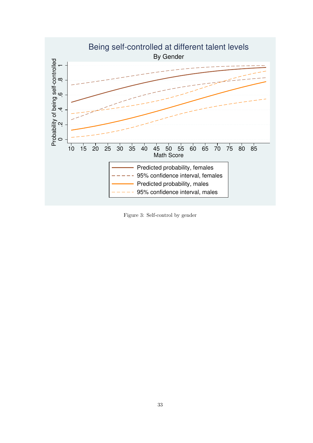

Figure 3: Self-control by gender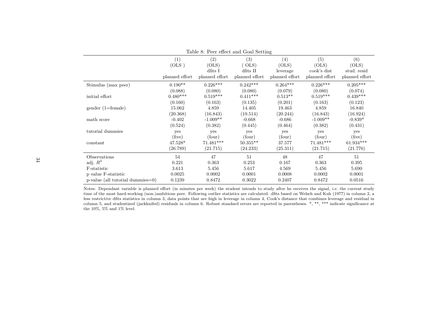| Table 8: Peer effect and Goal Setting |                                |                                           |                                            |                                            |                                               |                                               |
|---------------------------------------|--------------------------------|-------------------------------------------|--------------------------------------------|--------------------------------------------|-----------------------------------------------|-----------------------------------------------|
|                                       | (1)<br>(OLS)<br>planned effort | (2)<br>(OLS)<br>dfits I<br>planned effort | (3)<br>(OLS)<br>dfits II<br>planned effort | (4)<br>(OLS)<br>leverage<br>planned effort | (5)<br>(OLS)<br>cook's dist<br>planned effort | (6)<br>(OLS)<br>stud. resid<br>planned effort |
| Stimulus (max peer)                   | $0.190**$                      | $0.226***$                                | $0.242***$                                 | $0.264***$                                 | $0.226***$                                    | $0.205***$                                    |
|                                       | (0.088)                        | (0.080)                                   | (0.080)                                    | (0.079)                                    | (0.080)                                       | (0.074)                                       |
| initial effort                        | $0.480***$                     | $0.519***$                                | $0.411***$                                 | $0.513**$                                  | $0.519***$                                    | $0.439***$                                    |
|                                       | (0.160)                        | (0.163)                                   | (0.135)                                    | (0.201)                                    | (0.163)                                       | (0.123)                                       |
| $gender (1=female)$                   | 15.062                         | 4.859                                     | 14.405                                     | 19.463                                     | 4.859                                         | 16.840                                        |
|                                       | (20.368)                       | (16.843)                                  | (19.514)                                   | (20.244)                                   | (16.843)                                      | (16.924)                                      |
| math score                            | $-0.402$                       | $-1.009**$                                | $-0.668$                                   | $-0.686$                                   | $-1.009**$                                    | $-0.839*$                                     |
|                                       | (0.524)                        | (0.382)                                   | (0.445)                                    | (0.464)                                    | (0.382)                                       | (0.431)                                       |
| tutorial dummies                      | yes                            | yes                                       | yes                                        | yes                                        | yes                                           | yes                                           |
|                                       | (five)                         | (four)                                    | (four)                                     | (four)                                     | (four)                                        | (five)                                        |
| constant                              | $47.528*$                      | $71.481***$                               | $50.355**$                                 | 37.577                                     | 71.481***                                     | $61.934***$                                   |
|                                       | (26.789)                       | (21.715)                                  | (24.233)                                   | (25.311)                                   | (21.715)                                      | (21.776)                                      |
| Observations                          | 54                             | 47                                        | 51                                         | 48                                         | 47                                            | 51                                            |
| adj. $R^2$                            | 0.221                          | 0.363                                     | 0.253                                      | 0.167                                      | 0.363                                         | 0.395                                         |
| F-statistic                           | 3.613                          | 5.456                                     | 5.617                                      | 4.569                                      | 5.456                                         | 5.690                                         |
| p value F-statistic                   | 0.0025                         | 0.0002                                    | 0.0001                                     | 0.0008                                     | 0.0002                                        | 0.0001                                        |
| $p$ -value (all tutorial dummies=0)   | 0.1239                         | 0.8472                                    | 0.3022                                     | 0.2407                                     | 0.8472                                        | 0.0516                                        |

Notes: Dependant variable is planned effort (in minutes per week) the student intends to study after he receives the signal, i.e. the current study time of the most hard-working (non-)ambitious peer. Following outlier statistics are calculated: dfits based on Welsch and Kuh (1977) in column 2, a less restrictive dfits statistics in column 3, data points that are high in leverage in column 4, Cook's distance that combines leverage and residual in column 5, and studentized (jackknifed) residuals in column 6. Robust standard errors are reported in parentheses. \*, \*\*, \*\*\* indicate significance at the 10%, 5% and 1% level.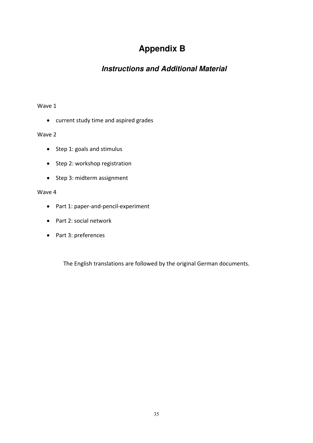# **Appendix B**

## **Instructions and Additional Material**

### Wave 1

current study time and aspired grades

### Wave 2

- Step 1: goals and stimulus
- Step 2: workshop registration
- Step 3: midterm assignment

### Wave 4

- Part 1: paper‐and‐pencil‐experiment
- Part 2: social network
- Part 3: preferences

The English translations are followed by the original German documents.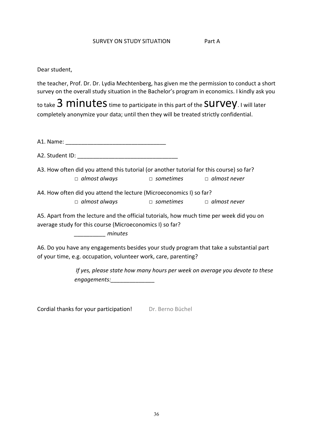#### SURVEY ON STUDY SITUATION Fart A

Dear student,

the teacher, Prof. Dr. Dr. Lydia Mechtenberg, has given me the permission to conduct a short survey on the overall study situation in the Bachelor's program in economics. I kindly ask you

to take  $3$  minutes time to participate in this part of the SUIVEY. I will later completely anonymize your data; until then they will be treated strictly confidential.

A1. Name: \_\_\_\_\_\_\_\_\_\_\_\_\_\_\_\_\_\_\_\_\_\_\_\_\_\_\_\_\_\_\_\_

A2. Student ID:  $\blacksquare$ 

A3. How often did you attend this tutorial (or another tutorial for this course) so far?  *□ almost always □ sometimes □ almost never*

A4. How often did you attend the lecture (Microeconomics I) so far?  *□ almost always □ sometimes □ almost never*

A5. Apart from the lecture and the official tutorials, how much time per week did you on average study for this course (Microeconomics I) so far?

*\_\_\_\_\_\_\_\_\_\_ minutes*

A6. Do you have any engagements besides your study program that take a substantial part of your time, e.g. occupation, volunteer work, care, parenting?

> *If yes, please state how many hours per week on average you devote to these engagements:\_\_\_\_\_\_\_\_\_\_\_\_\_\_*

Cordial thanks for your participation! Dr. Berno Büchel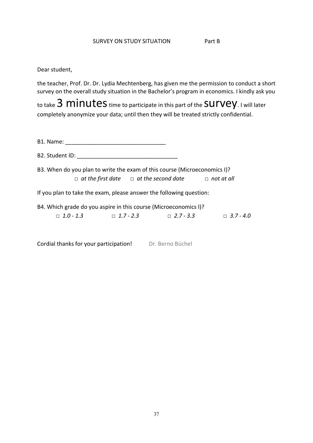Dear student,

the teacher, Prof. Dr. Dr. Lydia Mechtenberg, has given me the permission to conduct a short survey on the overall study situation in the Bachelor's program in economics. I kindly ask you

to take 3 minutes time to participate in this part of the Survey. I will later completely anonymize your data; until then they will be treated strictly confidential.

B1. Name: \_\_\_\_\_\_\_\_\_\_\_\_\_\_\_\_\_\_\_\_\_\_\_\_\_\_\_\_\_\_\_\_

B2. Student ID: **We are all that I** and I are the student in the student in the student in the student in the studies

B3. When do you plan to write the exam of this course (Microeconomics I)?  *□ at the first date □ at the second date □ not at all*

If you plan to take the exam, please answer the following question:

B4. Which grade do you aspire in this course (Microeconomics I)? *□ 1.0 ‐ 1.3 □ 1.7 ‐ 2.3 □ 2.7 ‐ 3.3 □ 3.7 ‐ 4.0*

Cordial thanks for your participation! Dr. Berno Büchel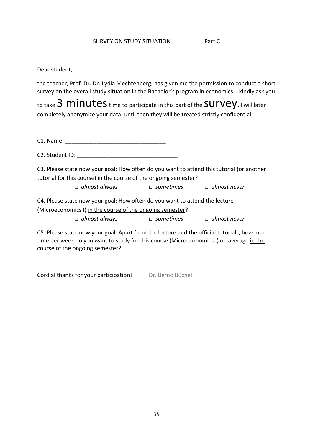#### SURVEY ON STUDY SITUATION **Part C**

### Dear student,

the teacher, Prof. Dr. Dr. Lydia Mechtenberg, has given me the permission to conduct a short survey on the overall study situation in the Bachelor's program in economics. I kindly ask you

to take  $3$  minutes time to participate in this part of the SUIVEY. I will later completely anonymize your data; until then they will be treated strictly confidential.

C1. Name: \_\_\_\_\_\_\_\_\_\_\_\_\_\_\_\_\_\_\_\_\_\_\_\_\_\_\_\_\_\_\_\_

C2. Student ID:  $\Box$ 

C3. Please state now your goal: How often do you want to attend this tutorial (or another tutorial for this course) in the course of the ongoing semester?

 *□ almost always □ sometimes □ almost never*

C4. Please state now your goal: How often do you want to attend the lecture (Microeconomics I) in the course of the ongoing semester?  *□ almost always □ sometimes □ almost never*

C5. Please state now your goal: Apart from the lecture and the official tutorials, how much time per week do you want to study for this course (Microeconomics I) on average in the course of the ongoing semester?

Cordial thanks for your participation! Dr. Berno Büchel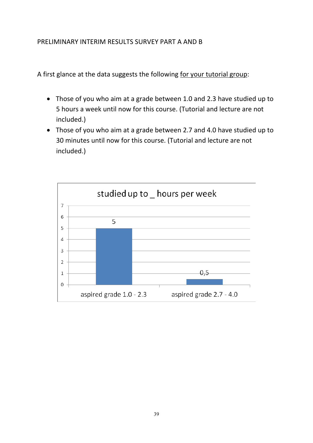## PRELIMINARY INTERIM RESULTS SURVEY PART A AND B

A first glance at the data suggests the following for your tutorial group:

- Those of you who aim at a grade between 1.0 and 2.3 have studied up to 5 hours a week until now for this course. (Tutorial and lecture are not included.)
- Those of you who aim at a grade between 2.7 and 4.0 have studied up to 30 minutes until now for this course. (Tutorial and lecture are not included.)

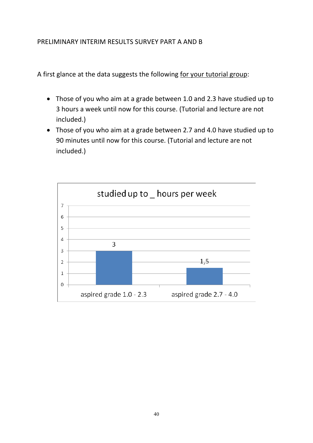## PRELIMINARY INTERIM RESULTS SURVEY PART A AND B

A first glance at the data suggests the following for your tutorial group:

- Those of you who aim at a grade between 1.0 and 2.3 have studied up to 3 hours a week until now for this course. (Tutorial and lecture are not included.)
- Those of you who aim at a grade between 2.7 and 4.0 have studied up to 90 minutes until now for this course. (Tutorial and lecture are not included.)

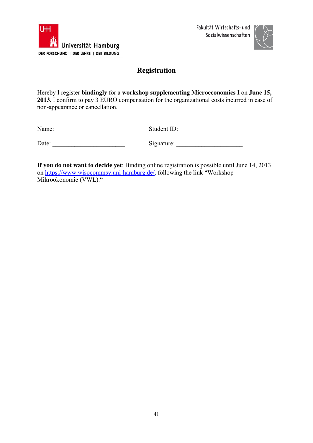



## **Registration**

Hereby I register **bindingly** for a **workshop supplementing Microeconomics I** on **June 15, 2013**. I confirm to pay 3 EURO compensation for the organizational costs incurred in case of non-appearance or cancellation.

| Name: | Student ID: |
|-------|-------------|
|       |             |

| Date: | Signature: |
|-------|------------|
|       |            |

**If you do not want to decide yet**: Binding online registration is possible until June 14, 2013 on https://www.wisocommsy.uni-hamburg.de/, following the link "Workshop Mikroökonomie (VWL)."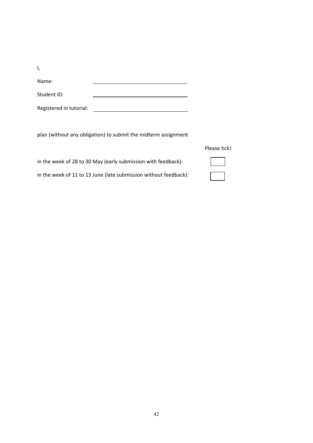I,

Name:

Student ID:

Registered in tutorial:

plan (without any obligation) to submit the midterm assignment

<u> 1989 - Johann Barn, mars eta bainar eta baina eta baina eta baina eta baina eta baina eta baina eta baina e</u>

| Please tick! |  |
|--------------|--|
|              |  |

| in the week of 28 to 30 May (early submission with feedback):    |  |
|------------------------------------------------------------------|--|
| in the week of 11 to 13 June (late submission without feedback): |  |

42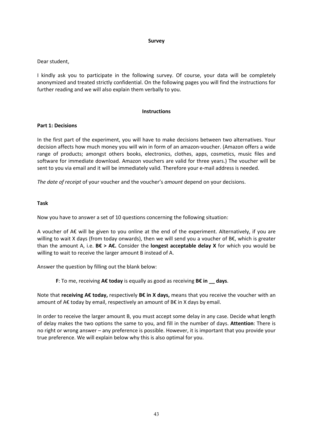#### **Survey**

#### Dear student,

I kindly ask you to participate in the following survey. Of course, your data will be completely anonymized and treated strictly confidential. On the following pages you will find the instructions for further reading and we will also explain them verbally to you.

#### **Instructions**

#### **Part 1: Decisions**

In the first part of the experiment, you will have to make decisions between two alternatives. Your decision affects how much money you will win in form of an amazon‐voucher. (Amazon offers a wide range of products; amongst others books, electronics, clothes, apps, cosmetics, music files and software for immediate download. Amazon vouchers are valid for three years.) The voucher will be sent to you via email and it will be immediately valid. Therefore your e-mail address is needed.

*The date of receipt* of your voucher and the voucher's *amount* depend on your decisions.

#### **Task**

Now you have to answer a set of 10 questions concerning the following situation:

A voucher of A€ will be given to you online at the end of the experiment. Alternatively, if you are willing to wait X days (from today onwards), then we will send you a voucher of B€, which is greater than the amount A, i.e. **B€ > A€.** Consider the **longest acceptable delay X** for which you would be willing to wait to receive the larger amount B instead of A.

Answer the question by filling out the blank below:

**F**: To me, receiving **A€ today** is equally as good as receiving **B€ in \_\_ days**.

Note that **receiving A€ today,** respectively **B€ in X days,** means that you receive the voucher with an amount of A€ today by email, respectively an amount of B€ in X days by email.

In order to receive the larger amount B, you must accept some delay in any case. Decide what length of delay makes the two options the same to you, and fill in the number of days. **Attention**: There is no right or wrong answer – any preference is possible. However, it is important that you provide your true preference. We will explain below why this is also optimal for you.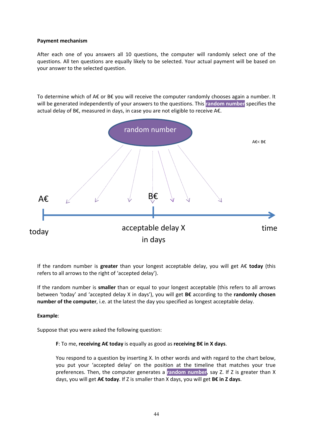#### **Payment mechanism**

After each one of you answers all 10 questions, the computer will randomly select one of the questions. All ten questions are equally likely to be selected. Your actual payment will be based on your answer to the selected question.

To determine which of A€ or B€ you will receive the computer randomly chooses again a number. It will be generated independently of your answers to the questions. This **random number** specifies the actual delay of B€, measured in days, in case you are not eligible to receive A€.



If the random number is **greater** than your longest acceptable delay, you will get A€ **today** (this refers to all arrows to the right of 'accepted delay').

If the random number is **smaller** than or equal to your longest acceptable (this refers to all arrows between 'today' and 'accepted delay X in days'), you will get **B€** according to the **randomly chosen number of the computer**, i.e. at the latest the day you specified as longest acceptable delay.

#### **Example**:

Suppose that you were asked the following question:

#### **F**: To me, **receiving A€ today** is equally as good as **receiving B€ in X days**.

You respond to a question by inserting X. In other words and with regard to the chart below, you put your 'accepted delay' on the position at the timeline that matches your true preferences. Then, the computer generates a **random number**, say Z. If Z is greater than X days, you will get **A€ today**. If Z is smaller than X days, you will get **B€ in Z days**.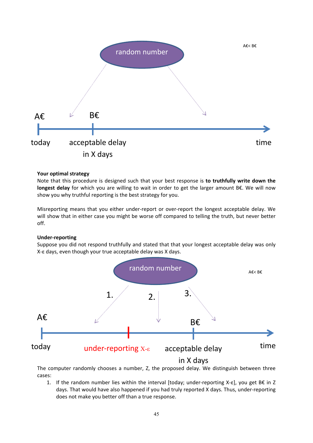

#### **Your optimal strategy**

Note that this procedure is designed such that your best response is **to truthfully write down the longest delay** for which you are willing to wait in order to get the larger amount B€. We will now show you why truthful reporting is the best strategy for you.

Misreporting means that you either under‐report or over‐report the longest acceptable delay. We will show that in either case you might be worse off compared to telling the truth, but never better off.

#### **Under‐reporting**

Suppose you did not respond truthfully and stated that that your longest acceptable delay was only X‐ε days, even though your true acceptable delay was X days.



The computer randomly chooses a number, Z, the proposed delay. We distinguish between three cases:

1. If the random number lies within the interval [today; under‐reporting X‐ε], you get B€ in Z days. That would have also happened if you had truly reported X days. Thus, under‐reporting does not make you better off than a true response.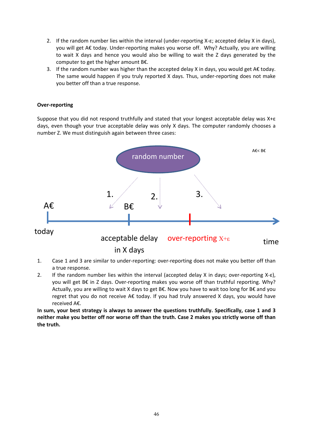- 2. If the random number lies within the interval (under‐reporting X‐ε; accepted delay X in days), you will get A€ today. Under‐reporting makes you worse off. Why? Actually, you are willing to wait X days and hence you would also be willing to wait the Z days generated by the computer to get the higher amount B€.
- 3. If the random number was higher than the accepted delay X in days, you would get A $\epsilon$  today. The same would happen if you truly reported X days. Thus, under‐reporting does not make you better off than a true response.

#### **Over‐reporting**

Suppose that you did not respond truthfully and stated that your longest acceptable delay was X+ε days, even though your true acceptable delay was only X days. The computer randomly chooses a number Z. We must distinguish again between three cases:



- 1. Case 1 and 3 are similar to under‐reporting: over‐reporting does not make you better off than a true response.
- 2. If the random number lies within the interval (accepted delay X in days; over‐reporting X‐ε), you will get B€ in Z days. Over-reporting makes you worse off than truthful reporting. Why? Actually, you are willing to wait X days to get B€. Now you have to wait too long for B€ and you regret that you do not receive A€ today. If you had truly answered X days, you would have received A€.

**In sum, your best strategy is always to answer the questions truthfully. Specifically, case 1 and 3** neither make you better off nor worse off than the truth. Case 2 makes you strictly worse off than **the truth.**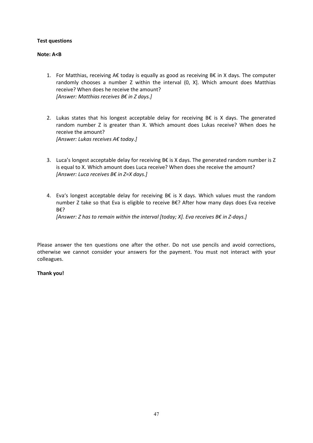#### **Test questions**

#### **Note: A<B**

- 1. For Matthias, receiving A€ today is equally as good as receiving B€ in X days. The computer randomly chooses a number Z within the interval (0, X]. Which amount does Matthias receive? When does he receive the amount? *[Answer: Matthias receives B€ in Z days.]*
- 2. Lukas states that his longest acceptable delay for receiving  $B€$  is X days. The generated random number Z is greater than X. Which amount does Lukas receive? When does he receive the amount? *[Answer: Lukas receives A€ today.]*
- 3. Luca's longest acceptable delay for receiving B€ is X days. The generated random number is Z is equal to X. Which amount does Luca receive? When does she receive the amount? *[Answer: Luca receives B€ in Z=X days.]*
- 4. Eva's longest acceptable delay for receiving B $\epsilon$  is X days. Which values must the random number Z take so that Eva is eligible to receive B€? After how many days does Eva receive B€?

*[Answer: Z has to remain within the interval [today; X]. Eva receives B€ in Z‐days.]*

Please answer the ten questions one after the other. Do not use pencils and avoid corrections, otherwise we cannot consider your answers for the payment. You must not interact with your colleagues.

#### **Thank you!**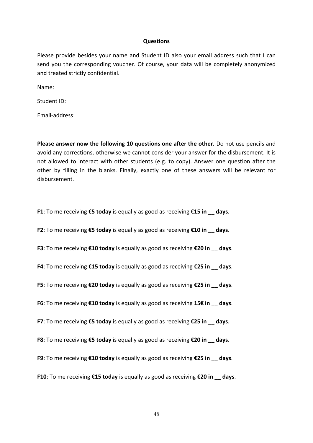#### **Questions**

Please provide besides your name and Student ID also your email address such that I can send you the corresponding voucher. Of course, your data will be completely anonymized and treated strictly confidential.

Name: Student ID: University of the Student ID: University of the Student ID: University of the Student ID: University of the Student ID: University of the Student ID: University of the Student ID: University of the Student ID: Email‐address:

**Please answer now the following 10 questions one after the other.** Do not use pencils and avoid any corrections, otherwise we cannot consider your answer for the disbursement. It is not allowed to interact with other students (e.g. to copy). Answer one question after the other by filling in the blanks. Finally, exactly one of these answers will be relevant for disbursement.

**F1**: To me receiving **€5 today** is equally as good as receiving **€15 in \_\_ days**.

**F2**: To me receiving **€5 today** is equally as good as receiving **€10 in \_\_ days**.

**F3**: To me receiving **€10 today** is equally as good as receiving **€20 in \_\_ days**.

**F4**: To me receiving **€15 today** is equally as good as receiving **€25 in \_\_ days**.

**F5**: To me receiving **€20 today** is equally as good as receiving **€25 in \_\_ days**.

**F6**: To me receiving **€10 today** is equally as good as receiving **15€ in \_\_ days**.

**F7**: To me receiving **€5 today** is equally as good as receiving **€25 in \_\_ days**.

**F8**: To me receiving **€5 today** is equally as good as receiving **€20 in \_\_ days**.

**F9**: To me receiving **€10 today** is equally as good as receiving **€25 in \_\_ days**.

**F10**: To me receiving **€15 today** is equally as good as receiving **€20 in \_\_ days**.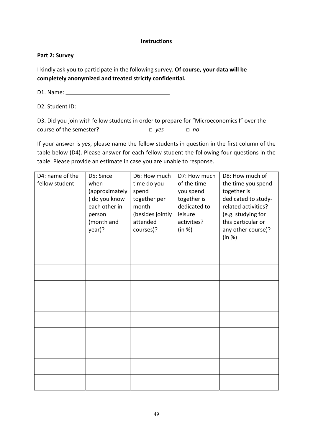#### **Instructions**

#### **Part 2: Survey**

I kindly ask you to participate in the following survey. **Of course, your data will be completely anonymized and treated strictly confidential.**

D1. Name:

D2. Student ID:

D3. Did you join with fellow students in order to prepare for "Microeconomics I" over the course of the semester? *□ yes □ no*

If your answer is *yes*, please name the fellow students in question in the first column of the table below (D4). Please answer for each fellow student the following four questions in the table. Please provide an estimate in case you are unable to response.

| D4: name of the<br>fellow student | D5: Since<br>when<br>(approximately<br>) do you know<br>each other in<br>person<br>(month and<br>year)? | D6: How much<br>time do you<br>spend<br>together per<br>month<br>(besides jointly<br>attended<br>courses)? | D7: How much<br>of the time<br>you spend<br>together is<br>dedicated to<br>leisure<br>activities?<br>(in %) | D8: How much of<br>the time you spend<br>together is<br>dedicated to study-<br>related activities?<br>(e.g. studying for<br>this particular or<br>any other course)?<br>(in %) |
|-----------------------------------|---------------------------------------------------------------------------------------------------------|------------------------------------------------------------------------------------------------------------|-------------------------------------------------------------------------------------------------------------|--------------------------------------------------------------------------------------------------------------------------------------------------------------------------------|
|                                   |                                                                                                         |                                                                                                            |                                                                                                             |                                                                                                                                                                                |
|                                   |                                                                                                         |                                                                                                            |                                                                                                             |                                                                                                                                                                                |
|                                   |                                                                                                         |                                                                                                            |                                                                                                             |                                                                                                                                                                                |
|                                   |                                                                                                         |                                                                                                            |                                                                                                             |                                                                                                                                                                                |
|                                   |                                                                                                         |                                                                                                            |                                                                                                             |                                                                                                                                                                                |
|                                   |                                                                                                         |                                                                                                            |                                                                                                             |                                                                                                                                                                                |
|                                   |                                                                                                         |                                                                                                            |                                                                                                             |                                                                                                                                                                                |
|                                   |                                                                                                         |                                                                                                            |                                                                                                             |                                                                                                                                                                                |
|                                   |                                                                                                         |                                                                                                            |                                                                                                             |                                                                                                                                                                                |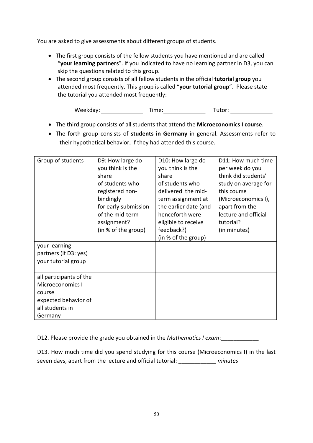You are asked to give assessments about different groups of students.

- The first group consists of the fellow students you have mentioned and are called "**your learning partners**". If you indicated to have no learning partner in D3, you can skip the questions related to this group.
- The second group consists of all fellow students in the official **tutorial group** you attended most frequently. This group is called "**your tutorial group**". Please state the tutorial you attended most frequently:

Weekday: Time: The: Tutor: Tutor:

- The third group consists of all students that attend the **Microeconomics I course**.
- The forth group consists of **students in Germany** in general. Assessments refer to their hypothetical behavior, if they had attended this course.

| Group of students                      | D9: How large do<br>you think is the<br>share<br>of students who<br>registered non-<br>bindingly<br>for early submission<br>of the mid-term<br>assignment?<br>(in % of the group) | D10: How large do<br>you think is the<br>share<br>of students who<br>delivered the mid-<br>term assignment at<br>the earlier date (and<br>henceforth were<br>eligible to receive<br>feedback?) | D11: How much time<br>per week do you<br>think did students'<br>study on average for<br>this course<br>(Microeconomics I),<br>apart from the<br>lecture and official<br>tutorial?<br>(in minutes) |
|----------------------------------------|-----------------------------------------------------------------------------------------------------------------------------------------------------------------------------------|------------------------------------------------------------------------------------------------------------------------------------------------------------------------------------------------|---------------------------------------------------------------------------------------------------------------------------------------------------------------------------------------------------|
|                                        |                                                                                                                                                                                   | (in % of the group)                                                                                                                                                                            |                                                                                                                                                                                                   |
| your learning<br>partners (if D3: yes) |                                                                                                                                                                                   |                                                                                                                                                                                                |                                                                                                                                                                                                   |
| your tutorial group                    |                                                                                                                                                                                   |                                                                                                                                                                                                |                                                                                                                                                                                                   |
| all participants of the                |                                                                                                                                                                                   |                                                                                                                                                                                                |                                                                                                                                                                                                   |
| Microeconomics I                       |                                                                                                                                                                                   |                                                                                                                                                                                                |                                                                                                                                                                                                   |
| course                                 |                                                                                                                                                                                   |                                                                                                                                                                                                |                                                                                                                                                                                                   |
| expected behavior of                   |                                                                                                                                                                                   |                                                                                                                                                                                                |                                                                                                                                                                                                   |
| all students in                        |                                                                                                                                                                                   |                                                                                                                                                                                                |                                                                                                                                                                                                   |
| Germany                                |                                                                                                                                                                                   |                                                                                                                                                                                                |                                                                                                                                                                                                   |

D12. Please provide the grade you obtained in the *Mathematics I exam*:\_\_\_\_\_\_\_\_\_\_\_\_

D13. How much time did you spend studying for this course (Microeconomics I) in the last seven days, apart from the lecture and official tutorial: \_\_\_\_\_\_\_\_\_\_\_\_ *minutes*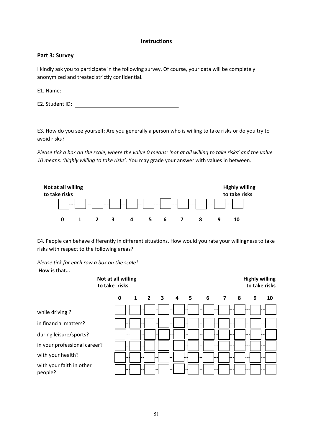#### **Instructions**

#### **Part 3: Survey**

I kindly ask you to participate in the following survey. Of course, your data will be completely anonymized and treated strictly confidential.

E1. Name:

E2. Student ID:

E3. How do you see yourself: Are you generally a person who is willing to take risks or do you try to avoid risks?

Please tick a box on the scale, where the value 0 means: 'not at all willing to take risks' and the value *10 means: 'highly willing to take risks*'. You may grade your answer with values in between.



E4. People can behave differently in different situations. How would you rate your willingness to take risks with respect to the following areas?

*Please tick for each row a box on the scale!*

#### **How is that…**

|                                     | Not at all willing<br>to take risks |                     |  |  |           |   | <b>Highly willing</b><br>to take risks |
|-------------------------------------|-------------------------------------|---------------------|--|--|-----------|---|----------------------------------------|
|                                     | $\mathbf{0}$                        | $1 \quad 2 \quad 3$ |  |  | 4 5 6 7 8 | 9 | 10                                     |
| while driving?                      |                                     |                     |  |  |           |   |                                        |
| in financial matters?               |                                     |                     |  |  |           |   |                                        |
| during leisure/sports?              |                                     |                     |  |  |           |   |                                        |
| in your professional career?        |                                     |                     |  |  |           |   |                                        |
| with your health?                   |                                     |                     |  |  |           |   |                                        |
| with your faith in other<br>people? |                                     |                     |  |  |           |   |                                        |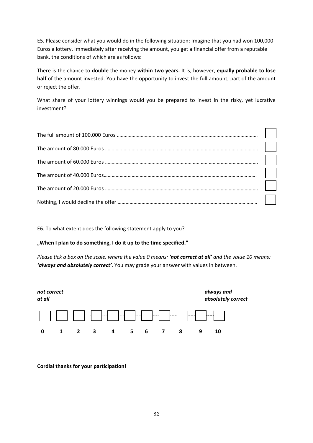E5. Please consider what you would do in the following situation: Imagine that you had won 100,000 Euros a lottery. Immediately after receiving the amount, you get a financial offer from a reputable bank, the conditions of which are as follows:

There is the chance to **double** the money **within two years.** It is, however, **equally probable to lose half** of the amount invested. You have the opportunity to invest the full amount, part of the amount or reject the offer.

What share of your lottery winnings would you be prepared to invest in the risky, yet lucrative investment?

E6. To what extent does the following statement apply to you?

**"When I plan to do something, I do it up to the time specified."**

Please tick a box on the scale, where the value 0 means: 'not correct at all' and the value 10 means: *'always and absolutely correct'*. You may grade your answer with values in between.



**Cordial thanks for your participation!**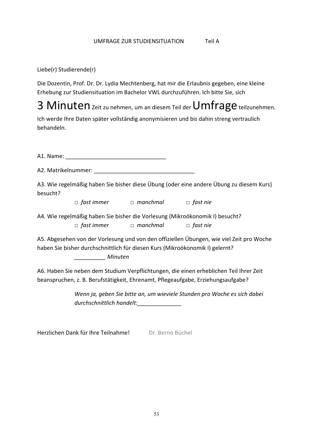### UMFRAGE ZUR STUDIENSITUATION Teil A

Liebe(r) Studierende(r)

Die Dozentin, Prof. Dr. Dr. Lydia Mechtenberg, hat mir die Erlaubnis gegeben, eine kleine Erhebung zur Studiensituation im Bachelor VWL durchzuführen. Ich bitte Sie, sich

3 Minuten zeit zu nehmen, um an diesem Teil der Umfrage teilzunehmen.

Ich werde Ihre Daten später vollständig anonymisieren und bis dahin streng vertraulich behandeln.

A1. Name: \_\_\_\_\_\_\_\_\_\_\_\_\_\_\_\_\_\_\_\_\_\_\_\_\_\_\_\_\_\_\_\_

A2. Matrikelnummer:

A3. Wie regelmäßig haben Sie bisher diese Übung (oder eine andere Übung zu diesem Kurs) besucht?

 *□ fast immer □ manchmal □ fast nie*

A4. Wie regelmäßig haben Sie bisher die Vorlesung (Mikroökonomik I) besucht? *□ fast immer □ manchmal □ fast nie*

A5. Abgesehen von der Vorlesung und von den offiziellen Übungen, wie viel Zeit pro Woche haben Sie bisher durchschnittlich für diesen Kurs (Mikroökonomik I) gelernt?

*\_\_\_\_\_\_\_\_\_\_ Minuten*

A6. Haben Sie neben dem Studium Verpflichtungen, die einen erheblichen Teil Ihrer Zeit beanspruchen, z. B. Berufstätigkeit, Ehrenamt, Pflegeaufgabe, Erziehungsaufgabe?

> *Wenn ja, geben Sie bitte an, um wieviele Stunden pro Woche es sich dabei durchschnittlich handelt:\_\_\_\_\_\_\_\_\_\_\_\_\_\_*

Herzlichen Dank für Ihre Teilnahme! Dr. Berno Büchel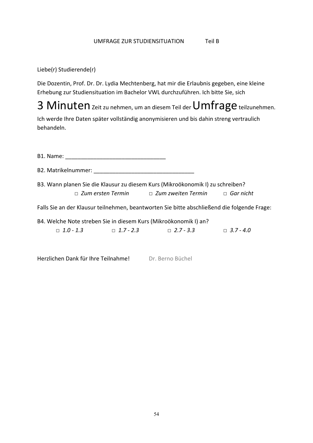#### UMFRAGE ZUR STUDIENSITUATION Teil B

Liebe(r) Studierende(r)

Die Dozentin, Prof. Dr. Dr. Lydia Mechtenberg, hat mir die Erlaubnis gegeben, eine kleine Erhebung zur Studiensituation im Bachelor VWL durchzuführen. Ich bitte Sie, sich

3 Minuten zeit zu nehmen, um an diesem Teil der Umfrage teilzunehmen.

Ich werde Ihre Daten später vollständig anonymisieren und bis dahin streng vertraulich behandeln.

| B3. Wann planen Sie die Klausur zu diesem Kurs (Mikroökonomik I) zu schreiben?<br>$\Box$ Zum ersten Termin $\Box$ Zum zweiten Termin $\Box$ Gar nicht |  |                                                                                             |  |  |  |  |
|-------------------------------------------------------------------------------------------------------------------------------------------------------|--|---------------------------------------------------------------------------------------------|--|--|--|--|
|                                                                                                                                                       |  | Falls Sie an der Klausur teilnehmen, beantworten Sie bitte abschließend die folgende Frage: |  |  |  |  |
|                                                                                                                                                       |  | B4. Welche Note streben Sie in diesem Kurs (Mikroökonomik I) an?                            |  |  |  |  |
|                                                                                                                                                       |  | $\Box$ 1.0 - 1.3 $\Box$ 1.7 - 2.3 $\Box$ 2.7 - 3.3 $\Box$ 3.7 - 4.0                         |  |  |  |  |
|                                                                                                                                                       |  |                                                                                             |  |  |  |  |

Herzlichen Dank für Ihre Teilnahme! Dr. Berno Büchel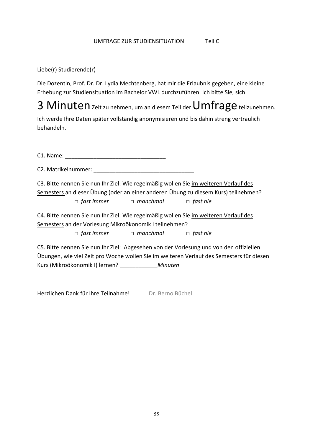### UMFRAGE ZUR STUDIENSITUATION Teil C

Liebe(r) Studierende(r)

Die Dozentin, Prof. Dr. Dr. Lydia Mechtenberg, hat mir die Erlaubnis gegeben, eine kleine Erhebung zur Studiensituation im Bachelor VWL durchzuführen. Ich bitte Sie, sich

3 Minuten zeit zu nehmen, um an diesem Teil der Umfrage teilzunehmen.

Ich werde Ihre Daten später vollständig anonymisieren und bis dahin streng vertraulich behandeln.

C1. Name: \_\_\_\_\_\_\_\_\_\_\_\_\_\_\_\_\_\_\_\_\_\_\_\_\_\_\_\_\_\_\_\_ C2. Matrikelnummer: C3. Bitte nennen Sie nun Ihr Ziel: Wie regelmäßig wollen Sie im weiteren Verlauf des Semesters an dieser Übung (oder an einer anderen Übung zu diesem Kurs) teilnehmen?  *□ fast immer □ manchmal □ fast nie* C4. Bitte nennen Sie nun Ihr Ziel: Wie regelmäßig wollen Sie im weiteren Verlauf des Semesters an der Vorlesung Mikroökonomik I teilnehmen?  *□ fast immer □ manchmal □ fast nie* C5. Bitte nennen Sie nun Ihr Ziel: Abgesehen von der Vorlesung und von den offiziellen

Übungen, wie viel Zeit pro Woche wollen Sie im weiteren Verlauf des Semesters für diesen Kurs (Mikroökonomik I) lernen? \_\_\_\_\_\_\_\_\_\_\_\_*Minuten*

Herzlichen Dank für Ihre Teilnahme! Dr. Berno Büchel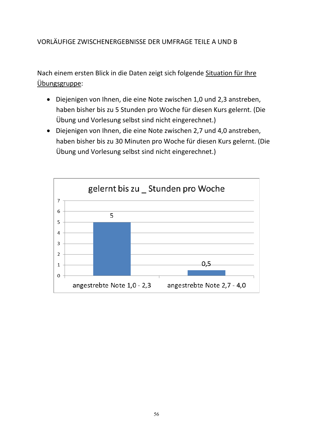## VORLÄUFIGE ZWISCHENERGEBNISSE DER UMFRAGE TEILE A UND B

Nach einem ersten Blick in die Daten zeigt sich folgende Situation für Ihre Übungsgruppe:

- Diejenigen von Ihnen, die eine Note zwischen 1,0 und 2,3 anstreben, haben bisher bis zu 5 Stunden pro Woche für diesen Kurs gelernt. (Die Übung und Vorlesung selbst sind nicht eingerechnet.)
- Diejenigen von Ihnen, die eine Note zwischen 2,7 und 4,0 anstreben, haben bisher bis zu 30 Minuten pro Woche für diesen Kurs gelernt. (Die Übung und Vorlesung selbst sind nicht eingerechnet.)

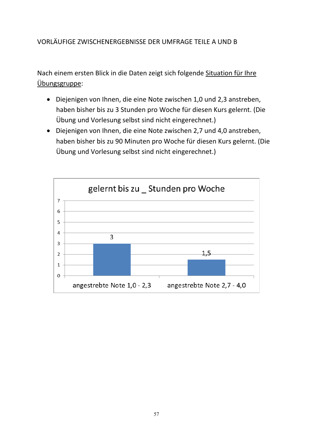## VORLÄUFIGE ZWISCHENERGEBNISSE DER UMFRAGE TEILE A UND B

Nach einem ersten Blick in die Daten zeigt sich folgende Situation für Ihre Übungsgruppe:

- Diejenigen von Ihnen, die eine Note zwischen 1,0 und 2,3 anstreben, haben bisher bis zu 3 Stunden pro Woche für diesen Kurs gelernt. (Die Übung und Vorlesung selbst sind nicht eingerechnet.)
- Diejenigen von Ihnen, die eine Note zwischen 2,7 und 4,0 anstreben, haben bisher bis zu 90 Minuten pro Woche für diesen Kurs gelernt. (Die Übung und Vorlesung selbst sind nicht eingerechnet.)

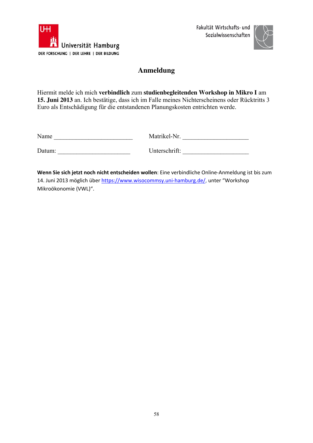



## **Anmeldung**

Hiermit melde ich mich **verbindlich** zum **studienbegleitenden Workshop in Mikro I** am **15. Juni 2013** an. Ich bestätige, dass ich im Falle meines Nichterscheinens oder Rücktritts 3 Euro als Entschädigung für die entstandenen Planungskosten entrichten werde.

| Name |
|------|
|------|

Name \_\_\_\_\_\_\_\_\_\_\_\_\_\_\_\_\_\_\_\_\_\_\_\_\_ Matrikel-Nr. \_\_\_\_\_\_\_\_\_\_\_\_\_\_\_\_\_\_\_\_\_

Datum:

| Unterschrift: |  |
|---------------|--|
|---------------|--|

**Wenn Sie sich jetzt noch nicht entscheiden wollen**: Eine verbindliche Online‐Anmeldung ist bis zum 14. Juni 2013 möglich über https://www.wisocommsy.uni-hamburg.de/, unter "Workshop Mikroökonomie (VWL)".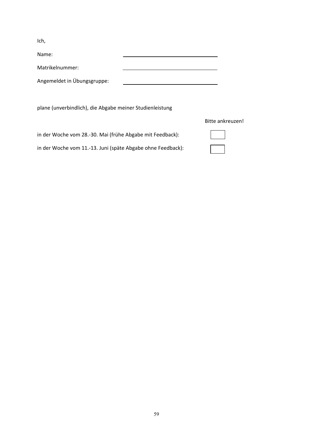Ich,

| Name:                       |  |
|-----------------------------|--|
| Matrikelnummer:             |  |
| Angemeldet in Übungsgruppe: |  |

plane (unverbindlich), die Abgabe meiner Studienleistung

in der Woche vom 28.‐30. Mai (frühe Abgabe mit Feedback):

in der Woche vom 11.‐13. Juni (späte Abgabe ohne Feedback):

#### Bitte ankreuzen!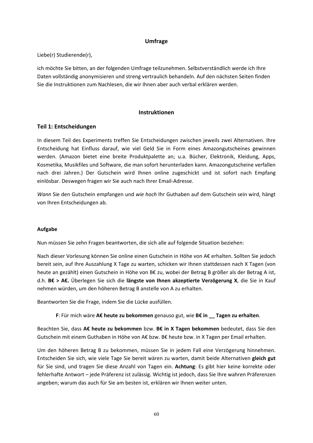#### **Umfrage**

Liebe(r) Studierende(r),

ich möchte Sie bitten, an der folgenden Umfrage teilzunehmen. Selbstverständlich werde ich Ihre Daten vollständig anonymisieren und streng vertraulich behandeln. Auf den nächsten Seiten finden Sie die Instruktionen zum Nachlesen, die wir Ihnen aber auch verbal erklären werden.

#### **Instruktionen**

#### **Teil 1: Entscheidungen**

In diesem Teil des Experiments treffen Sie Entscheidungen zwischen jeweils zwei Alternativen. Ihre Entscheidung hat Einfluss darauf, wie viel Geld Sie in Form eines Amazongutscheines gewinnen werden. (Amazon bietet eine breite Produktpalette an; u.a. Bücher, Elektronik, Kleidung, Apps, Kosmetika, Musikfiles und Software, die man sofort herunterladen kann. Amazongutscheine verfallen nach drei Jahren.) Der Gutschein wird Ihnen online zugeschickt und ist sofort nach Empfang einlösbar. Deswegen fragen wir Sie auch nach Ihrer Email‐Adresse.

*Wann* Sie den Gutschein empfangen und *wie hoch* Ihr Guthaben auf dem Gutschein sein wird, hängt von Ihren Entscheidungen ab.

#### **Aufgabe**

Nun müssen Sie zehn Fragen beantworten, die sich alle auf folgende Situation beziehen:

Nach dieser Vorlesung können Sie online einen Gutschein in Höhe von A€ erhalten. Sollten Sie jedoch bereit sein, auf Ihre Auszahlung X Tage zu warten, schicken wir Ihnen stattdessen nach X Tagen (von heute an gezählt) einen Gutschein in Höhe von B€ zu, wobei der Betrag B größer als der Betrag A ist, d.h. **B€ > A€.** Überlegen Sie sich die **längste von Ihnen akzeptierte Verzögerung X**, die Sie in Kauf nehmen würden, um den höheren Betrag B anstelle von A zu erhalten.

Beantworten Sie die Frage, indem Sie die Lücke ausfüllen.

**F**: Für mich wäre **A€ heute zu bekommen** genauso gut, wie **B€ in \_\_ Tagen zu erhalten**.

Beachten Sie, dass **A€ heute zu bekommen** bzw. **B€ in X Tagen bekommen** bedeutet, dass Sie den Gutschein mit einem Guthaben in Höhe von A€ bzw. B€ heute bzw. in X Tagen per Email erhalten.

Um den höheren Betrag B zu bekommen, müssen Sie in jedem Fall eine Verzögerung hinnehmen. Entscheiden Sie sich, wie viele Tage Sie bereit wären zu warten, damit beide Alternativen **gleich gut** für Sie sind, und tragen Sie diese Anzahl von Tagen ein. **Achtung**: Es gibt hier keine korrekte oder fehlerhafte Antwort – jede Präferenz ist zulässig. Wichtig ist jedoch, dass Sie Ihre wahren Präferenzen angeben; warum das auch für Sie am besten ist, erklären wir Ihnen weiter unten.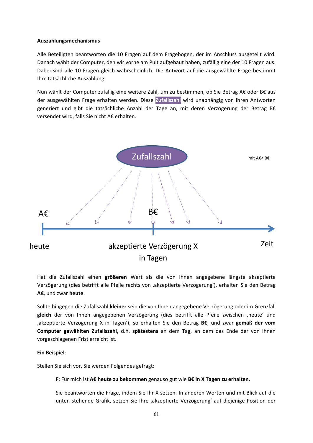#### **Auszahlungsmechanismus**

Alle Beteiligten beantworten die 10 Fragen auf dem Fragebogen, der im Anschluss ausgeteilt wird. Danach wählt der Computer, den wir vorne am Pult aufgebaut haben, zufällig eine der 10 Fragen aus. Dabei sind alle 10 Fragen gleich wahrscheinlich. Die Antwort auf die ausgewählte Frage bestimmt Ihre tatsächliche Auszahlung.

Nun wählt der Computer zufällig eine weitere Zahl, um zu bestimmen, ob Sie Betrag A€ oder B€ aus der ausgewählten Frage erhalten werden. Diese **Zufallszahl** wird unabhängig von Ihren Antworten generiert und gibt die tatsächliche Anzahl der Tage an, mit deren Verzögerung der Betrag B€ versendet wird, falls Sie nicht A€ erhalten.



Hat die Zufallszahl einen **größeren** Wert als die von Ihnen angegebene längste akzeptierte Verzögerung (dies betrifft alle Pfeile rechts von 'akzeptierte Verzögerung'), erhalten Sie den Betrag **A€**, und zwar **heute**.

Sollte hingegen die Zufallszahl **kleiner** sein die von Ihnen angegebene Verzögerung oder im Grenzfall **gleich** der von Ihnen angegebenen Verzögerung (dies betrifft alle Pfeile zwischen 'heute' und 'akzeptierte Verzögerung X in Tagen'), so erhalten Sie den Betrag **B€**, und zwar **gemäß der vom Computer gewählten Zufallszahl,** d.h. **spätestens** an dem Tag, an dem das Ende der von Ihnen vorgeschlagenen Frist erreicht ist.

#### **Ein Beispiel**:

Stellen Sie sich vor, Sie werden Folgendes gefragt:

**F**: Für mich ist **A€ heute zu bekommen** genauso gut wie **B€ in X Tagen zu erhalten.**

Sie beantworten die Frage, indem Sie Ihr X setzen. In anderen Worten und mit Blick auf die unten stehende Grafik, setzen Sie Ihre 'akzeptierte Verzögerung' auf diejenige Position der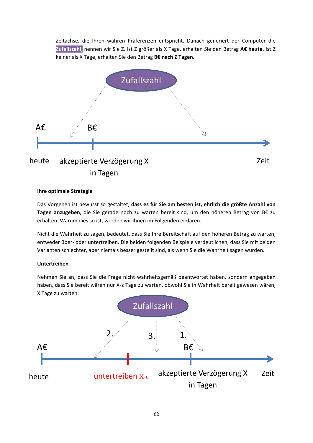Zeitachse, die Ihren wahren Präferenzen entspricht. Danach generiert der Computer die Zufallszahl, nennen wir Sie Z. Ist Z größer als X Tage, erhalten Sie den Betrag A€ heute. Ist Z keiner als X Tage, erhalten Sie den Betrag **B€ nach Z Tagen.**



#### **Ihre optimale Strategie**

Das Vorgehen ist bewusst so gestaltet, **dass es für Sie am besten ist, ehrlich die größte Anzahl von Tagen anzugeben**, die Sie gerade noch zu warten bereit sind, um den höheren Betrag von B€ zu erhalten. Warum dies so ist, werden wir Ihnen im Folgenden erklären.

Nicht die Wahrheit zu sagen, bedeutet, dass Sie Ihre Bereitschaft auf den höheren Betrag zu warten, entweder über‐ oder untertreiben. Die beiden folgenden Beispiele verdeutlichen, dass Sie mit beiden Varianten schlechter, aber niemals besser gestellt sind, als wenn Sie die Wahrheit sagen würden.

#### **Untertreiben**

Nehmen Sie an, dass Sie die Frage nicht wahrheitsgemäß beantwortet haben, sondern angegeben haben, dass Sie bereit wären nur X‐ε Tage zu warten, obwohl Sie in Wahrheit bereit gewesen wären, X Tage zu warten.

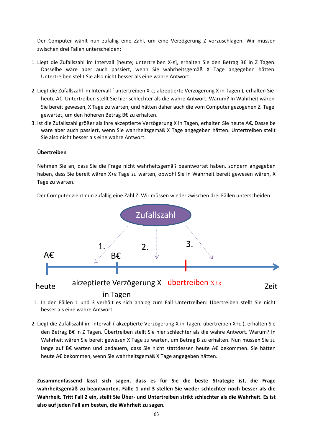Der Computer wählt nun zufällig eine Zahl, um eine Verzögerung Z vorzuschlagen. Wir müssen zwischen drei Fällen unterscheiden:

- 1. Liegt die Zufallszahl im Intervall [heute; untertreiben X‐ε], erhalten Sie den Betrag B€ in Z Tagen. Dasselbe wäre aber auch passiert, wenn Sie wahrheitsgemäß X Tage angegeben hätten. Untertreiben stellt Sie also nicht besser als eine wahre Antwort.
- 2. Liegt die Zufallszahl im Intervall [ untertreiben X‐ε; akzeptierte Verzögerung X in Tagen ), erhalten Sie heute A€. Untertreiben stellt Sie hier schlechter als die wahre Antwort. Warum? In Wahrheit wären Sie bereit gewesen, X Tage zu warten, und hätten daher auch die vom Computer gezogenen Z Tage gewartet, um den höheren Betrag B€ zu erhalten.
- 3. Ist die Zufallszahl größer als Ihre akzeptierte Verzögerung X in Tagen, erhalten Sie heute A€. Dasselbe wäre aber auch passiert, wenn Sie wahrheitsgemäß X Tage angegeben hätten. Untertreiben stellt Sie also nicht besser als eine wahre Antwort.

#### **Übertreiben**

Nehmen Sie an, dass Sie die Frage nicht wahrheitsgemäß beantwortet haben, sondern angegeben haben, dass Sie bereit wären X+ε Tage zu warten, obwohl Sie in Wahrheit bereit gewesen wären, X Tage zu warten.

Der Computer zieht nun zufällig eine Zahl Z. Wir müssen wieder zwischen drei Fällen unterscheiden:



- 1. In den Fällen 1 und 3 verhält es sich analog zum Fall Untertreiben: Übertreiben stellt Sie nicht besser als eine wahre Antwort.
- 2. Liegt die Zufallszahl im Intervall ( akzeptierte Verzögerung X in Tagen; übertreiben X+ε ), erhalten Sie den Betrag B€ in Z Tagen. Übertreiben stellt Sie hier schlechter als die wahre Antwort. Warum? In Wahrheit wären Sie bereit gewesen X Tage zu warten, um Betrag B zu erhalten. Nun müssen Sie zu lange auf B€ warten und bedauern, dass Sie nicht stattdessen heute A€ bekommen. Sie hätten heute A€ bekommen, wenn Sie wahrheitsgemäß X Tage angegeben hätten.

**Zusammenfassend lässt sich sagen, dass es für Sie die beste Strategie ist, die Frage wahrheitsgemäß zu beantworten. Fälle 1 und 3 stellen Sie weder schlechter noch besser als die** Wahrheit. Tritt Fall 2 ein, stellt Sie Über- und Untertreiben strikt schlechter als die Wahrheit. Es ist **also auf jeden Fall am besten, die Wahrheit zu sagen.**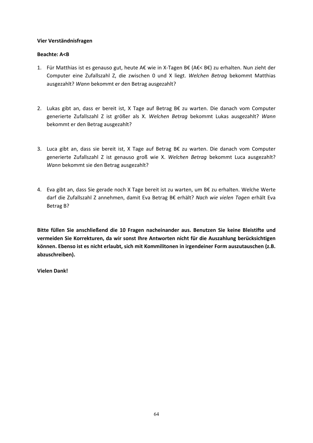#### **Vier Verständnisfragen**

#### **Beachte: A<B**

- 1. Für Matthias ist es genauso gut, heute A€ wie in X‐Tagen B€ (A€< B€) zu erhalten. Nun zieht der Computer eine Zufallszahl Z, die zwischen 0 und X liegt. *Welchen Betrag* bekommt Matthias ausgezahlt? *Wann* bekommt er den Betrag ausgezahlt?
- 2. Lukas gibt an, dass er bereit ist, X Tage auf Betrag B€ zu warten. Die danach vom Computer generierte Zufallszahl Z ist größer als X. *Welchen Betrag* bekommt Lukas ausgezahlt? *Wann* bekommt er den Betrag ausgezahlt?
- 3. Luca gibt an, dass sie bereit ist, X Tage auf Betrag B€ zu warten. Die danach vom Computer generierte Zufallszahl Z ist genauso groß wie X. *Welchen Betrag* bekommt Luca ausgezahlt? *Wann* bekommt sie den Betrag ausgezahlt?
- 4. Eva gibt an, dass Sie gerade noch X Tage bereit ist zu warten, um B€ zu erhalten. Welche Werte darf die Zufallszahl Z annehmen, damit Eva Betrag B€ erhält? *Nach wie vielen Tagen* erhält Eva Betrag B?

**Bitte füllen Sie anschließend die 10 Fragen nacheinander aus. Benutzen Sie keine Bleistifte und vermeiden Sie Korrekturen, da wir sonst Ihre Antworten nicht für die Auszahlung berücksichtigen können. Ebenso ist es nicht erlaubt, sich mit Kommilitonen in irgendeiner Form auszutauschen (z.B. abzuschreiben).** 

**Vielen Dank!**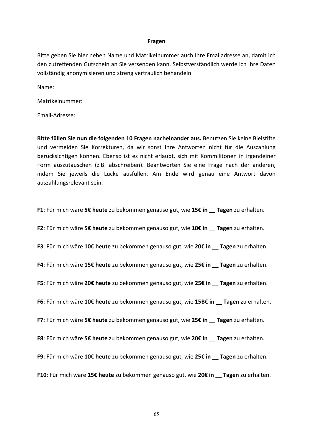#### **Fragen**

Bitte geben Sie hier neben Name und Matrikelnummer auch Ihre Emailadresse an, damit ich den zutreffenden Gutschein an Sie versenden kann. Selbstverständlich werde ich Ihre Daten vollständig anonymisieren und streng vertraulich behandeln.

Name:

Matrikelnummer: 1988 Matrikelnummer:

Email‐Adresse:

**Bitte füllen Sie nun die folgenden 10 Fragen nacheinander aus.** Benutzen Sie keine Bleistifte und vermeiden Sie Korrekturen, da wir sonst Ihre Antworten nicht für die Auszahlung berücksichtigen können. Ebenso ist es nicht erlaubt, sich mit Kommilitonen in irgendeiner Form auszutauschen (z.B. abschreiben). Beantworten Sie eine Frage nach der anderen, indem Sie jeweils die Lücke ausfüllen. Am Ende wird genau eine Antwort davon auszahlungsrelevant sein.

**F1**: Für mich wäre **5€ heute** zu bekommen genauso gut, wie **15€ in \_\_ Tagen** zu erhalten.

**F2**: Für mich wäre **5€ heute** zu bekommen genauso gut, wie **10€ in \_\_ Tagen** zu erhalten.

**F3**: Für mich wäre **10€ heute** zu bekommen genauso gut, wie **20€ in \_\_ Tagen** zu erhalten.

**F4**: Für mich wäre **15€ heute** zu bekommen genauso gut, wie **25€ in \_\_ Tagen** zu erhalten.

**F5**: Für mich wäre **20€ heute** zu bekommen genauso gut, wie **25€ in \_\_ Tagen** zu erhalten.

**F6**: Für mich wäre **10€ heute** zu bekommen genauso gut, wie **15B€ in \_\_ Tagen** zu erhalten.

**F7**: Für mich wäre **5€ heute** zu bekommen genauso gut, wie **25€ in \_\_ Tagen** zu erhalten.

**F8**: Für mich wäre **5€ heute** zu bekommen genauso gut, wie **20€ in \_\_ Tagen** zu erhalten.

**F9**: Für mich wäre **10€ heute** zu bekommen genauso gut, wie **25€ in \_\_ Tagen** zu erhalten.

**F10**: Für mich wäre **15€ heute** zu bekommen genauso gut, wie **20€ in \_\_ Tagen** zu erhalten.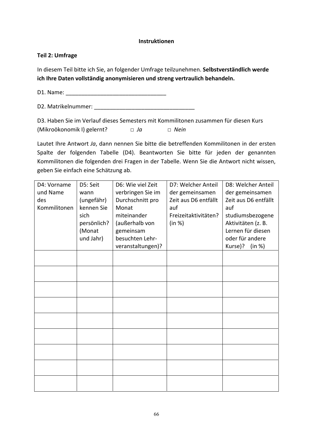#### **Instruktionen**

### **Teil 2: Umfrage**

In diesem Teil bitte ich Sie, an folgender Umfrage teilzunehmen. **Selbstverständlich werde ich Ihre Daten vollständig anonymisieren und streng vertraulich behandeln.**

D1. Name: \_\_\_\_\_\_\_\_\_\_\_\_\_\_\_\_\_\_\_\_\_\_\_\_\_\_\_\_\_\_\_\_

D2. Matrikelnummer:

D3. Haben Sie im Verlauf dieses Semesters mit Kommilitonen zusammen für diesen Kurs (Mikroökonomik I) gelernt? *□ Ja □ Nein*

Lautet Ihre Antwort *Ja*, dann nennen Sie bitte die betreffenden Kommilitonen in der ersten Spalte der folgenden Tabelle (D4). Beantworten Sie bitte für jeden der genannten Kommilitonen die folgenden drei Fragen in der Tabelle. Wenn Sie die Antwort nicht wissen, geben Sie einfach eine Schätzung ab.

| D4: Vorname  | D5: Seit    | D6: Wie viel Zeit | D7: Welcher Anteil   | D8: Welcher Anteil   |
|--------------|-------------|-------------------|----------------------|----------------------|
| und Name     | wann        | verbringen Sie im | der gemeinsamen      | der gemeinsamen      |
| des          | (ungefähr)  | Durchschnitt pro  | Zeit aus D6 entfällt | Zeit aus D6 entfällt |
| Kommilitonen | kennen Sie  | Monat             | auf                  | auf                  |
|              | sich        | miteinander       | Freizeitaktivitäten? | studiumsbezogene     |
|              | persönlich? | (außerhalb von    | (in %)               | Aktivitäten (z. B.   |
|              | (Monat      |                   |                      | Lernen für diesen    |
|              |             | gemeinsam         |                      |                      |
|              | und Jahr)   | besuchten Lehr-   |                      | oder für andere      |
|              |             | veranstaltungen)? |                      | Kurse)?<br>(in %)    |
|              |             |                   |                      |                      |
|              |             |                   |                      |                      |
|              |             |                   |                      |                      |
|              |             |                   |                      |                      |
|              |             |                   |                      |                      |
|              |             |                   |                      |                      |
|              |             |                   |                      |                      |
|              |             |                   |                      |                      |
|              |             |                   |                      |                      |
|              |             |                   |                      |                      |
|              |             |                   |                      |                      |
|              |             |                   |                      |                      |
|              |             |                   |                      |                      |
|              |             |                   |                      |                      |
|              |             |                   |                      |                      |
|              |             |                   |                      |                      |
|              |             |                   |                      |                      |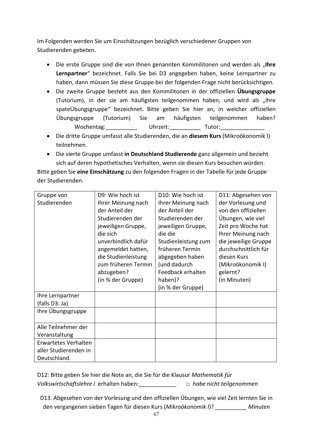Im Folgenden werden Sie um Einschätzungen bezüglich verschiedener Gruppen von Studierenden gebeten.

- **•** Die erste Gruppe sind die von Ihnen genannten Kommilitonen und werden als "Ihre **Lernpartner**" bezeichnet. Falls Sie bei D3 angegeben haben, keine Lernpartner zu haben, dann müssen Sie diese Gruppe bei der folgenden Frage nicht berücksichtigen.
- Die zweite Gruppe besteht aus den Kommilitonen in der offiziellen **Übungsgruppe** (Tutorium), in der sie am häufigsten teilgenommen haben, und wird als "Ihre spateÜbungsgruppe" bezeichnet. Bitte geben Sie hier an, in welcher offiziellen Übungsgruppe (Tutorium) Sie am häufigsten teilgenommen haben? Wochentag: Uhrzeit: Tutor:
- Die dritte Gruppe umfasst alle Studierenden, die an **diesem Kurs** (Mikroökonomik I) teilnehmen.
- Die vierte Gruppe umfasst **in Deutschland Studierende** ganz allgemein und bezieht sich auf deren hypothetisches Verhalten, wenn sie diesen Kurs besuchen würden.

Bitte geben Sie **eine Einschätzung** zu den folgenden Fragen in der Tabelle für jede Gruppe der Studierenden.

| Gruppe von            | D9: Wie hoch ist    | D <sub>10</sub> : Wie hoch ist | D11: Abgesehen von   |
|-----------------------|---------------------|--------------------------------|----------------------|
| Studierenden          | Ihrer Meinung nach  | Ihrer Meinung nach             | der Vorlesung und    |
|                       | der Anteil der      | der Anteil der                 | von den offiziellen  |
|                       | Studierenden der    | Studierenden der               | Übungen, wie viel    |
|                       | jeweiligen Gruppe,  | jeweiligen Gruppe,             | Zeit pro Woche hat   |
|                       | die sich            | die die                        | Ihrer Meinung nach   |
|                       | unverbindlich dafür | Studienleistung zum            | die jeweilige Gruppe |
|                       | angemeldet hatten,  | früheren Termin                | durchschnittlich für |
|                       | die Studienleistung | abgegeben haben                | diesen Kurs          |
|                       | zum früheren Termin | (und dadurch                   | (Mikroökonomik I)    |
|                       | abzugeben?          | Feedback erhalten              | gelernt?             |
|                       | (in % der Gruppe)   | haben)?                        | (in Minuten)         |
|                       |                     | (in % der Gruppe)              |                      |
| Ihre Lernpartner      |                     |                                |                      |
| (falls D3: Ja)        |                     |                                |                      |
| Ihre Übungsgruppe     |                     |                                |                      |
|                       |                     |                                |                      |
| Alle Teilnehmer der   |                     |                                |                      |
| Veranstaltung         |                     |                                |                      |
| Erwartetes Verhalten  |                     |                                |                      |
| aller Studierenden in |                     |                                |                      |
| Deutschland.          |                     |                                |                      |

D12: Bitte geben Sie hier die Note an, die Sie für die Klausur *Mathematik für Volkswirtschaftslehre I* erhalten haben:\_\_\_\_\_\_\_\_\_\_\_\_ *□ habe nicht teilgenommen*

D13. Abgesehen von der Vorlesung und den offiziellen Übungen, wie viel Zeit lernten Sie in den vergangenen sieben Tagen für diesen Kurs (*Mikroökonomik I*)? *\_\_\_\_\_\_\_\_\_\_ Minuten*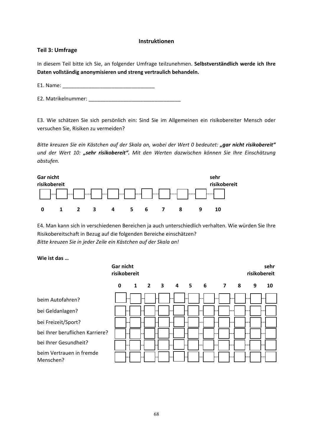#### **Instruktionen**

#### **Teil 3: Umfrage**

In diesem Teil bitte ich Sie, an folgender Umfrage teilzunehmen. **Selbstverständlich werde ich Ihre Daten vollständig anonymisieren und streng vertraulich behandeln.** 

E1. Name:

E2. Matrikelnummer: \_\_\_\_\_\_\_\_\_\_\_\_\_\_\_\_\_\_\_\_\_\_\_\_\_\_\_\_\_\_\_\_

E3. Wie schätzen Sie sich persönlich ein: Sind Sie im Allgemeinen ein risikobereiter Mensch oder versuchen Sie, Risiken zu vermeiden?

*Bitte kreuzen Sie ein Kästchen auf der Skala an, wobei der Wert 0 bedeutet: "gar nicht risikobereit" und der Wert 10: "sehr risikobereit". Mit den Werten dazwischen können Sie Ihre Einschätzung abstufen.* 



E4. Man kann sich in verschiedenen Bereichen ja auch unterschiedlich verhalten. Wie würden Sie Ihre Risikobereitschaft in Bezug auf die folgenden Bereiche einschätzen? *Bitte kreuzen Sie in jeder Zeile ein Kästchen auf der Skala an!*

#### **Wie ist das …**

|                                       | Gar nicht<br>risikobereit |                     |  |           |    |   | sehr<br>risikobereit |
|---------------------------------------|---------------------------|---------------------|--|-----------|----|---|----------------------|
|                                       | $\mathbf 0$               | $1 \quad 2 \quad 3$ |  | 4 5 6 7 8 |    | 9 | 10                   |
| beim Autofahren?                      |                           |                     |  |           | -- |   |                      |
| bei Geldanlagen?                      |                           |                     |  |           |    |   |                      |
| bei Freizeit/Sport?                   |                           |                     |  |           |    |   |                      |
| bei Ihrer beruflichen Karriere?       |                           |                     |  |           |    |   |                      |
| bei Ihrer Gesundheit?                 |                           |                     |  |           |    |   |                      |
| beim Vertrauen in fremde<br>Menschen? |                           |                     |  |           |    |   |                      |